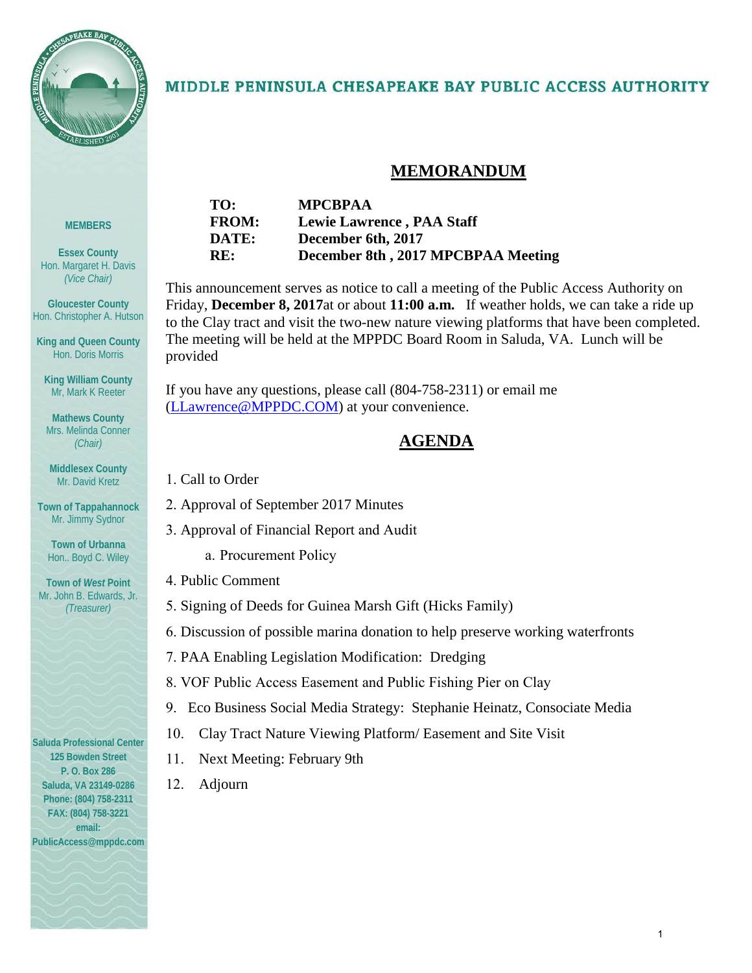

#### MIDDLE PENINSULA CHESAPEAKE BAY PUBLIC ACCESS AUTHORITY

#### **MEMORANDUM**

# **MEMBERS**

**Essex County** Hon. Margaret H. Davis *(Vice Chair)*

**Gloucester County** Hon. Christopher A. Hutson

**King and Queen County** Hon. Doris Morris

**King William County** Mr, Mark K Reeter

**Mathews County** Mrs. Melinda Conner *(Chair)*

**Middlesex County** Mr. David Kretz

**Town of Tappahannock** Mr. Jimmy Sydnor

**Town of Urbanna** Hon.. Boyd C. Wiley

**Town of** *West* **Point** Mr. John B. Edwards, Jr. *(Treasurer)*

#### **Saluda Professional Center 125 Bowden Street P. O. Box 286 Saluda, VA 23149-0286 Phone: (804) 758-2311 FAX: (804) 758-3221 email:**

**PublicAccess@mppdc.com** 



This announcement serves as notice to call a meeting of the Public Access Authority on Friday, **December 8, 2017**at or about **11:00 a.m.** If weather holds, we can take a ride up to the Clay tract and visit the two-new nature viewing platforms that have been completed. The meeting will be held at the MPPDC Board Room in Saluda, VA. Lunch will be provided

If you have any questions, please call (804-758-2311) or email me [\(LLawrence@MPPDC.COM\)](mailto:LLawrence@MPPDC.COM) at your convenience.

#### **AGENDA**

- 1. Call to Order
- 2. Approval of September 2017 Minutes
- 3. Approval of Financial Report and Audit
	- a. Procurement Policy
- 4. Public Comment
- 5. Signing of Deeds for Guinea Marsh Gift (Hicks Family)
- 6. Discussion of possible marina donation to help preserve working waterfronts
- 7. PAA Enabling Legislation Modification: Dredging
- 8. VOF Public Access Easement and Public Fishing Pier on Clay
- 9. Eco Business Social Media Strategy: Stephanie Heinatz, Consociate Media
- 10. Clay Tract Nature Viewing Platform/ Easement and Site Visit
- 11. Next Meeting: February 9th
- 12. Adjourn

1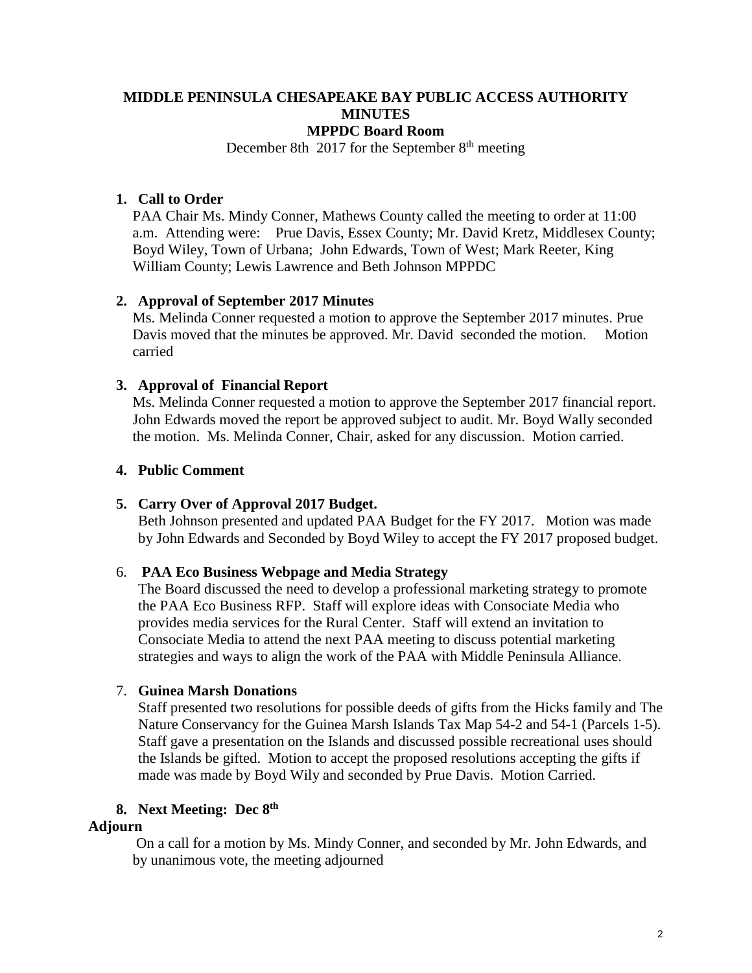#### **MIDDLE PENINSULA CHESAPEAKE BAY PUBLIC ACCESS AUTHORITY MINUTES MPPDC Board Room**

December 8th  $2017$  for the September 8<sup>th</sup> meeting

#### **1. Call to Order**

PAA Chair Ms. Mindy Conner, Mathews County called the meeting to order at 11:00 a.m. Attending were: Prue Davis, Essex County; Mr. David Kretz, Middlesex County; Boyd Wiley, Town of Urbana; John Edwards, Town of West; Mark Reeter, King William County; Lewis Lawrence and Beth Johnson MPPDC

#### **2. Approval of September 2017 Minutes**

Ms. Melinda Conner requested a motion to approve the September 2017 minutes. Prue Davis moved that the minutes be approved. Mr. David seconded the motion. Motion carried

#### **3. Approval of Financial Report**

Ms. Melinda Conner requested a motion to approve the September 2017 financial report. John Edwards moved the report be approved subject to audit. Mr. Boyd Wally seconded the motion. Ms. Melinda Conner, Chair, asked for any discussion. Motion carried.

#### **4. Public Comment**

#### **5. Carry Over of Approval 2017 Budget.**

Beth Johnson presented and updated PAA Budget for the FY 2017. Motion was made by John Edwards and Seconded by Boyd Wiley to accept the FY 2017 proposed budget.

#### 6. **PAA Eco Business Webpage and Media Strategy**

The Board discussed the need to develop a professional marketing strategy to promote the PAA Eco Business RFP. Staff will explore ideas with Consociate Media who provides media services for the Rural Center. Staff will extend an invitation to Consociate Media to attend the next PAA meeting to discuss potential marketing strategies and ways to align the work of the PAA with Middle Peninsula Alliance.

#### 7. **Guinea Marsh Donations**

Staff presented two resolutions for possible deeds of gifts from the Hicks family and The Nature Conservancy for the Guinea Marsh Islands Tax Map 54-2 and 54-1 (Parcels 1-5). Staff gave a presentation on the Islands and discussed possible recreational uses should the Islands be gifted. Motion to accept the proposed resolutions accepting the gifts if made was made by Boyd Wily and seconded by Prue Davis. Motion Carried.

#### **8. Next Meeting: Dec 8th**

#### **Adjourn**

On a call for a motion by Ms. Mindy Conner, and seconded by Mr. John Edwards, and by unanimous vote, the meeting adjourned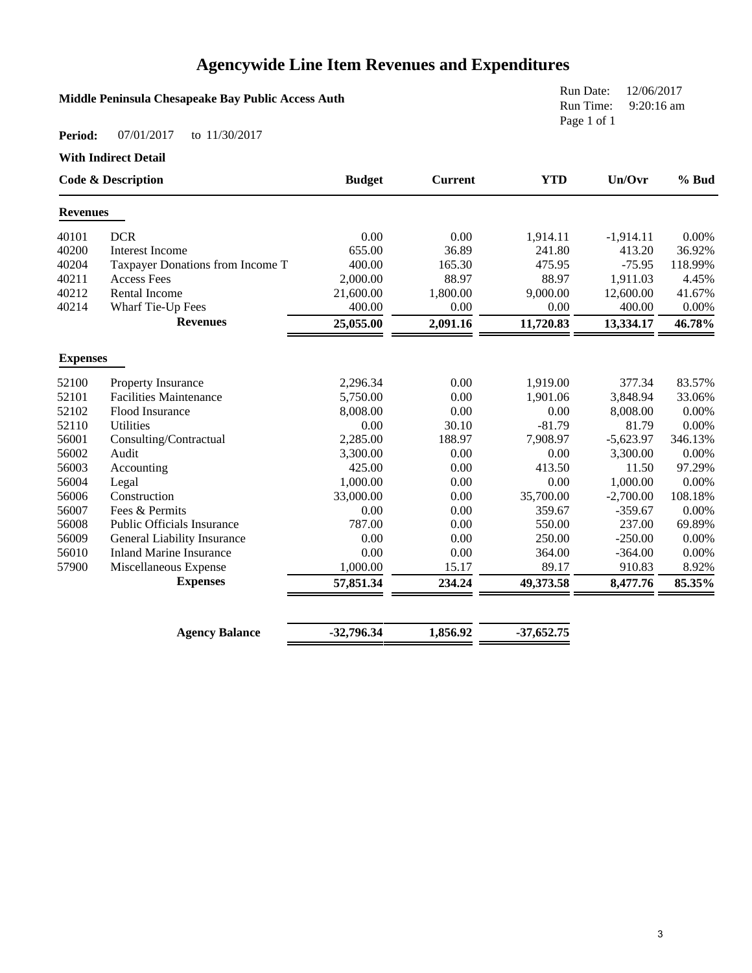### **Agencywide Line Item Revenues and Expenditures**

| Middle Peninsula Chesapeake Bay Public Access Auth |               |                |            | Run Date:<br>12/06/2017<br>$9:20:16$ am<br>Run Time: |       |
|----------------------------------------------------|---------------|----------------|------------|------------------------------------------------------|-------|
| 07/01/2017<br>Period:<br>to 11/30/2017             |               |                |            | Page 1 of 1                                          |       |
| <b>With Indirect Detail</b>                        |               |                |            |                                                      |       |
| <b>Code &amp; Description</b>                      | <b>Budget</b> | <b>Current</b> | <b>YTD</b> | Un/Ovr                                               | % Bud |
| <b>D</b> ovonuos                                   |               |                |            |                                                      |       |

| <b>Revenues</b> |                                    |              |          |              |             |          |
|-----------------|------------------------------------|--------------|----------|--------------|-------------|----------|
| 40101           | <b>DCR</b>                         | 0.00         | 0.00     | 1,914.11     | $-1,914.11$ | $0.00\%$ |
| 40200           | <b>Interest Income</b>             | 655.00       | 36.89    | 241.80       | 413.20      | 36.92%   |
| 40204           | Taxpayer Donations from Income T   | 400.00       | 165.30   | 475.95       | $-75.95$    | 118.99%  |
| 40211           | <b>Access Fees</b>                 | 2,000.00     | 88.97    | 88.97        | 1,911.03    | 4.45%    |
| 40212           | Rental Income                      | 21,600.00    | 1,800.00 | 9,000.00     | 12,600.00   | 41.67%   |
| 40214           | Wharf Tie-Up Fees                  | 400.00       | 0.00     | 0.00         | 400.00      | 0.00%    |
|                 | <b>Revenues</b>                    | 25,055.00    | 2,091.16 | 11,720.83    | 13,334.17   | 46.78%   |
| <b>Expenses</b> |                                    |              |          |              |             |          |
| 52100           | Property Insurance                 | 2,296.34     | 0.00     | 1,919.00     | 377.34      | 83.57%   |
| 52101           | <b>Facilities Maintenance</b>      | 5,750.00     | 0.00     | 1,901.06     | 3,848.94    | 33.06%   |
| 52102           | Flood Insurance                    | 8,008.00     | 0.00     | 0.00         | 8,008.00    | 0.00%    |
| 52110           | <b>Utilities</b>                   | 0.00         | 30.10    | $-81.79$     | 81.79       | 0.00%    |
| 56001           | Consulting/Contractual             | 2,285.00     | 188.97   | 7,908.97     | $-5,623.97$ | 346.13%  |
| 56002           | Audit                              | 3,300.00     | 0.00     | 0.00         | 3,300.00    | 0.00%    |
| 56003           | Accounting                         | 425.00       | 0.00     | 413.50       | 11.50       | 97.29%   |
| 56004           | Legal                              | 1,000.00     | 0.00     | 0.00         | 1,000.00    | 0.00%    |
| 56006           | Construction                       | 33,000.00    | 0.00     | 35,700.00    | $-2,700.00$ | 108.18%  |
| 56007           | Fees & Permits                     | 0.00         | 0.00     | 359.67       | $-359.67$   | 0.00%    |
| 56008           | <b>Public Officials Insurance</b>  | 787.00       | 0.00     | 550.00       | 237.00      | 69.89%   |
| 56009           | <b>General Liability Insurance</b> | 0.00         | 0.00     | 250.00       | $-250.00$   | 0.00%    |
| 56010           | <b>Inland Marine Insurance</b>     | 0.00         | 0.00     | 364.00       | $-364.00$   | 0.00%    |
| 57900           | Miscellaneous Expense              | 1,000.00     | 15.17    | 89.17        | 910.83      | 8.92%    |
|                 | <b>Expenses</b>                    | 57,851.34    | 234.24   | 49,373.58    | 8,477.76    | 85.35%   |
|                 |                                    |              |          |              |             |          |
|                 | <b>Agency Balance</b>              | $-32,796.34$ | 1,856.92 | $-37,652.75$ |             |          |
|                 |                                    |              |          |              |             |          |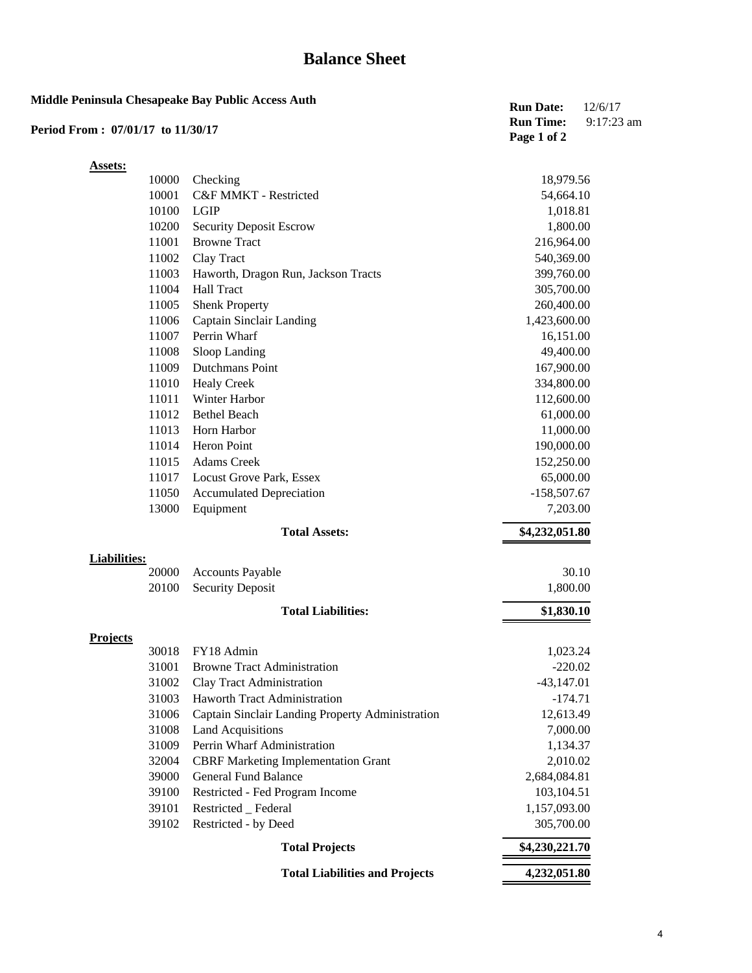### **Balance Sheet**

| Period From: 07/01/17 to 11/30/17 |       | Middle Peninsula Chesapeake Bay Public Access Auth | <b>Run Date:</b><br><b>Run Time:</b><br>Page 1 of 2 | 12/6/17<br>$9:17:23$ am |
|-----------------------------------|-------|----------------------------------------------------|-----------------------------------------------------|-------------------------|
| <b>Assets:</b>                    |       |                                                    |                                                     |                         |
|                                   | 10000 | Checking                                           | 18,979.56                                           |                         |
|                                   | 10001 | C&F MMKT - Restricted                              | 54,664.10                                           |                         |
|                                   | 10100 | <b>LGIP</b>                                        | 1,018.81                                            |                         |
|                                   | 10200 | <b>Security Deposit Escrow</b>                     | 1,800.00                                            |                         |
|                                   | 11001 | <b>Browne Tract</b>                                | 216,964.00                                          |                         |
|                                   | 11002 | Clay Tract                                         | 540,369.00                                          |                         |
|                                   | 11003 | Haworth, Dragon Run, Jackson Tracts                | 399,760.00                                          |                         |
|                                   | 11004 | <b>Hall Tract</b>                                  | 305,700.00                                          |                         |
|                                   | 11005 | <b>Shenk Property</b>                              | 260,400.00                                          |                         |
|                                   | 11006 | Captain Sinclair Landing                           | 1,423,600.00                                        |                         |
|                                   | 11007 | Perrin Wharf                                       | 16,151.00                                           |                         |
|                                   | 11008 | Sloop Landing                                      | 49,400.00                                           |                         |
|                                   | 11009 | <b>Dutchmans Point</b>                             | 167,900.00                                          |                         |
|                                   | 11010 | <b>Healy Creek</b>                                 | 334,800.00                                          |                         |
|                                   | 11011 | Winter Harbor                                      | 112,600.00                                          |                         |
|                                   | 11012 | <b>Bethel Beach</b>                                | 61,000.00                                           |                         |
|                                   | 11013 | Horn Harbor                                        | 11,000.00                                           |                         |
|                                   | 11014 | Heron Point                                        | 190,000.00                                          |                         |
|                                   | 11015 | <b>Adams Creek</b>                                 | 152,250.00                                          |                         |
|                                   | 11017 | Locust Grove Park, Essex                           | 65,000.00                                           |                         |
|                                   | 11050 | <b>Accumulated Depreciation</b>                    | $-158,507.67$                                       |                         |
|                                   | 13000 | Equipment                                          | 7,203.00                                            |                         |
|                                   |       | <b>Total Assets:</b>                               | \$4,232,051.80                                      |                         |
| <b>Liabilities:</b>               |       |                                                    |                                                     |                         |
|                                   | 20000 | <b>Accounts Payable</b>                            | 30.10                                               |                         |
|                                   | 20100 | <b>Security Deposit</b>                            | 1,800.00                                            |                         |
|                                   |       | <b>Total Liabilities:</b>                          | \$1,830.10                                          |                         |
| <b>Projects</b>                   |       |                                                    |                                                     |                         |
|                                   | 30018 | FY18 Admin                                         | 1,023.24                                            |                         |
|                                   | 31001 | <b>Browne Tract Administration</b>                 | $-220.02$                                           |                         |
|                                   | 31002 | Clay Tract Administration                          | $-43,147.01$                                        |                         |
|                                   | 31003 | Haworth Tract Administration                       | $-174.71$                                           |                         |
|                                   | 31006 | Captain Sinclair Landing Property Administration   | 12,613.49                                           |                         |
|                                   | 31008 | <b>Land Acquisitions</b>                           | 7,000.00                                            |                         |
|                                   | 31009 | Perrin Wharf Administration                        | 1,134.37                                            |                         |
|                                   | 32004 | <b>CBRF Marketing Implementation Grant</b>         | 2,010.02                                            |                         |
|                                   | 39000 | <b>General Fund Balance</b>                        | 2,684,084.81                                        |                         |
|                                   | 39100 | Restricted - Fed Program Income                    | 103,104.51                                          |                         |
|                                   | 39101 | Restricted _ Federal                               | 1,157,093.00                                        |                         |
|                                   | 39102 | Restricted - by Deed                               | 305,700.00                                          |                         |

| <b>Total Projects</b>                 | \$4,230,221.70 |
|---------------------------------------|----------------|
| <b>Total Liabilities and Projects</b> | 4,232,051.80   |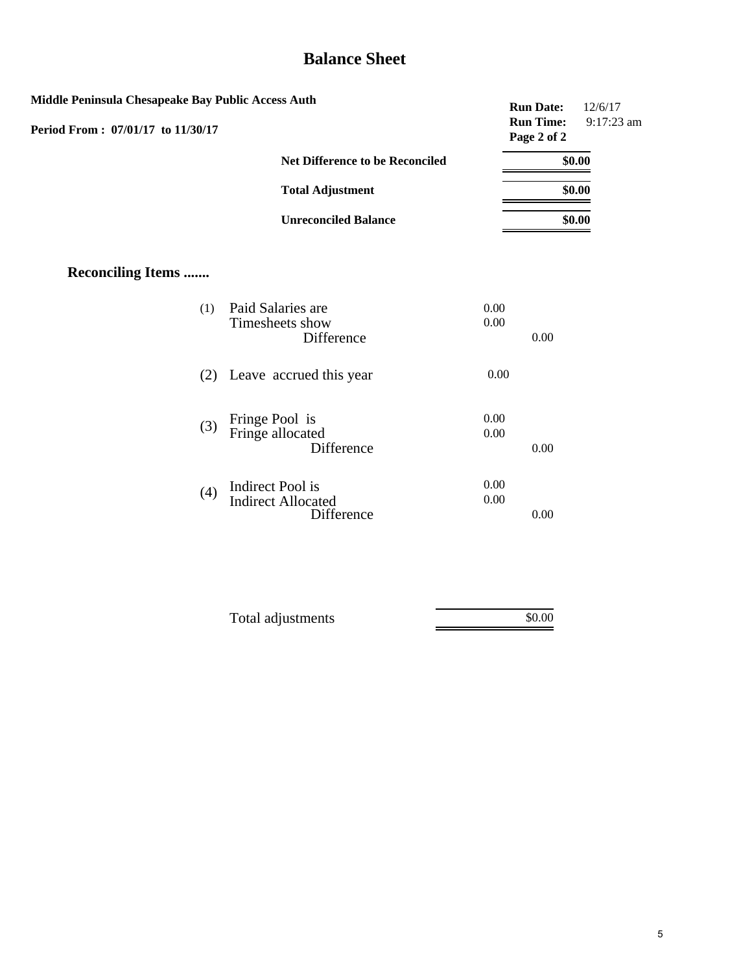### **Balance Sheet**

| Middle Peninsula Chesapeake Bay Public Access Auth |                                                             |              | <b>Run Date:</b>                | 12/6/17    |
|----------------------------------------------------|-------------------------------------------------------------|--------------|---------------------------------|------------|
| Period From: 07/01/17 to 11/30/17                  |                                                             |              | <b>Run Time:</b><br>Page 2 of 2 | 9:17:23 am |
|                                                    | <b>Net Difference to be Reconciled</b>                      |              |                                 | \$0.00     |
|                                                    | <b>Total Adjustment</b>                                     |              |                                 | \$0.00     |
|                                                    | <b>Unreconciled Balance</b>                                 |              |                                 | \$0.00     |
| <b>Reconciling Items </b>                          |                                                             |              |                                 |            |
| (1)                                                | Paid Salaries are<br>Timesheets show<br>Difference          | 0.00<br>0.00 | 0.00                            |            |
|                                                    | (2) Leave accrued this year                                 | 0.00         |                                 |            |
| (3)                                                | Fringe Pool is<br>Fringe allocated<br>Difference            | 0.00<br>0.00 | 0.00                            |            |
| (4)                                                | Indirect Pool is<br><b>Indirect Allocated</b><br>Difference | 0.00<br>0.00 | 0.00                            |            |
|                                                    |                                                             |              |                                 |            |

| Total adjustments | \$0.00 |
|-------------------|--------|
|                   |        |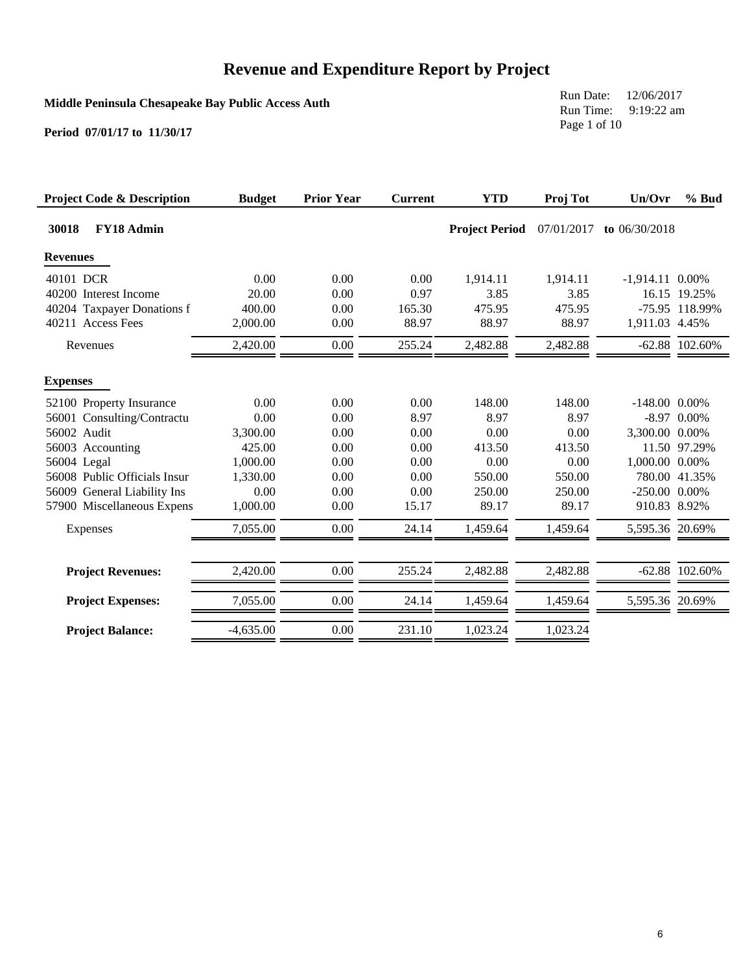**Middle Peninsula Chesapeake Bay Public Access Auth**

Run Date: 12/06/2017 Run Time: 9:19:22 am Page 1 of 10

| <b>Project Code &amp; Description</b> | <b>Budget</b> | <b>Prior Year</b> | <b>Current</b> | <b>YTD</b>            | Proj Tot   | Un/Ovr             | % Bud            |
|---------------------------------------|---------------|-------------------|----------------|-----------------------|------------|--------------------|------------------|
| FY18 Admin<br>30018                   |               |                   |                | <b>Project Period</b> | 07/01/2017 | to $06/30/2018$    |                  |
| <b>Revenues</b>                       |               |                   |                |                       |            |                    |                  |
| 40101 DCR                             | 0.00          | 0.00              | 0.00           | 1,914.11              | 1,914.11   | $-1,914.11$ 0.00%  |                  |
| 40200 Interest Income                 | 20.00         | 0.00              | 0.97           | 3.85                  | 3.85       |                    | 16.15 19.25%     |
| 40204 Taxpayer Donations f            | 400.00        | 0.00              | 165.30         | 475.95                | 475.95     |                    | -75.95 118.99%   |
| 40211 Access Fees                     | 2,000.00      | 0.00              | 88.97          | 88.97                 | 88.97      | 1,911.03 4.45%     |                  |
| Revenues                              | 2,420.00      | 0.00              | 255.24         | 2,482.88              | 2,482.88   |                    | $-62.88$ 102.60% |
| <b>Expenses</b>                       |               |                   |                |                       |            |                    |                  |
| 52100 Property Insurance              | 0.00          | 0.00              | 0.00           | 148.00                | 148.00     | $-148.00$ 0.00%    |                  |
| 56001 Consulting/Contractu            | 0.00          | 0.00              | 8.97           | 8.97                  | 8.97       |                    | $-8.97$ 0.00%    |
| 56002 Audit                           | 3,300.00      | 0.00              | 0.00           | 0.00                  | 0.00       | 3,300.00 0.00%     |                  |
| 56003 Accounting                      | 425.00        | 0.00              | 0.00           | 413.50                | 413.50     |                    | 11.50 97.29%     |
| 56004 Legal                           | 1,000.00      | 0.00              | 0.00           | 0.00                  | 0.00       | 1,000.00 0.00%     |                  |
| 56008 Public Officials Insur          | 1,330.00      | 0.00              | 0.00           | 550.00                | 550.00     |                    | 780.00 41.35%    |
| 56009 General Liability Ins           | 0.00          | 0.00              | 0.00           | 250.00                | 250.00     | $-250.00$ $0.00\%$ |                  |
| 57900 Miscellaneous Expens            | 1,000.00      | 0.00              | 15.17          | 89.17                 | 89.17      | 910.83 8.92%       |                  |
| Expenses                              | 7,055.00      | 0.00              | 24.14          | 1,459.64              | 1,459.64   | 5,595.36 20.69%    |                  |
| <b>Project Revenues:</b>              | 2,420.00      | 0.00              | 255.24         | 2,482.88              | 2,482.88   |                    | $-62.88$ 102.60% |
| <b>Project Expenses:</b>              | 7,055.00      | 0.00              | 24.14          | 1,459.64              | 1,459.64   | 5,595.36 20.69%    |                  |
| <b>Project Balance:</b>               | $-4,635.00$   | 0.00              | 231.10         | 1,023.24              | 1,023.24   |                    |                  |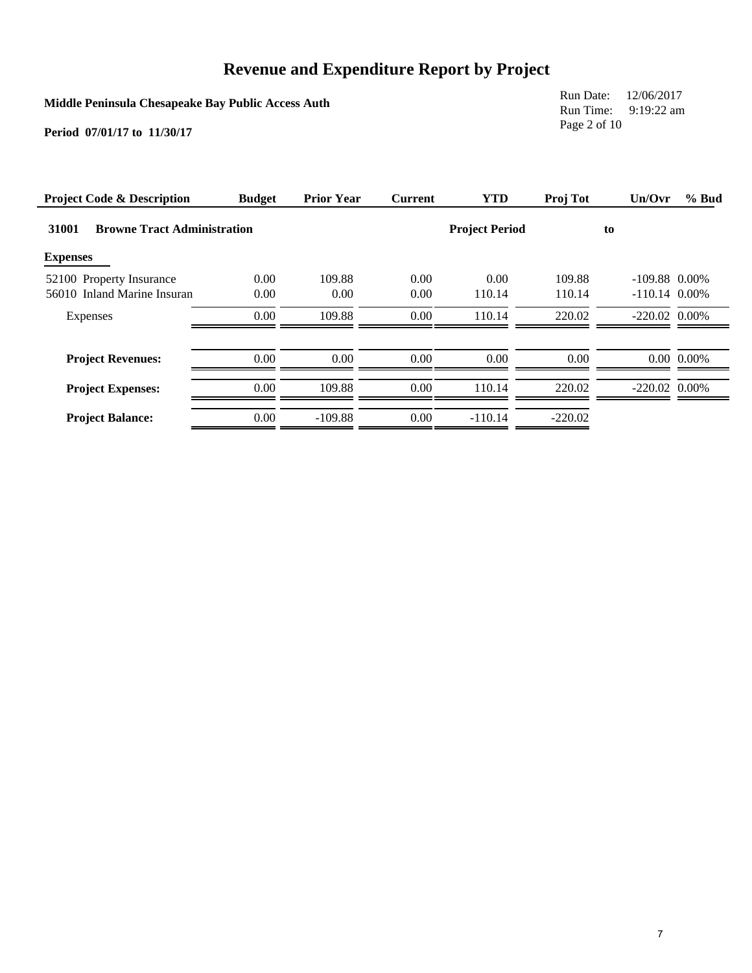**Middle Peninsula Chesapeake Bay Public Access Auth**

Run Date: 12/06/2017 Run Time: 9:19:22 am Page 2 of 10

| <b>Project Code &amp; Description</b>       | <b>Budget</b> | <b>Prior Year</b> | <b>Current</b> | <b>YTD</b>            | Proj Tot  | Un/Ovr          | % Bud          |
|---------------------------------------------|---------------|-------------------|----------------|-----------------------|-----------|-----------------|----------------|
| 31001<br><b>Browne Tract Administration</b> |               |                   |                | <b>Project Period</b> |           | to              |                |
| <b>Expenses</b>                             |               |                   |                |                       |           |                 |                |
| 52100 Property Insurance                    | 0.00          | 109.88            | 0.00           | 0.00                  | 109.88    | $-109.88$ 0.00% |                |
| 56010 Inland Marine Insuran                 | 0.00          | 0.00              | 0.00           | 110.14                | 110.14    | $-110.14$ 0.00% |                |
| Expenses                                    | 0.00          | 109.88            | 0.00           | 110.14                | 220.02    | $-220.02$ 0.00% |                |
| <b>Project Revenues:</b>                    | 0.00          | 0.00              | 0.00           | 0.00                  | 0.00      |                 | $0.00\ 0.00\%$ |
| <b>Project Expenses:</b>                    | 0.00          | 109.88            | $0.00\,$       | 110.14                | 220.02    | $-220.02$ 0.00% |                |
| <b>Project Balance:</b>                     | 0.00          | $-109.88$         | 0.00           | $-110.14$             | $-220.02$ |                 |                |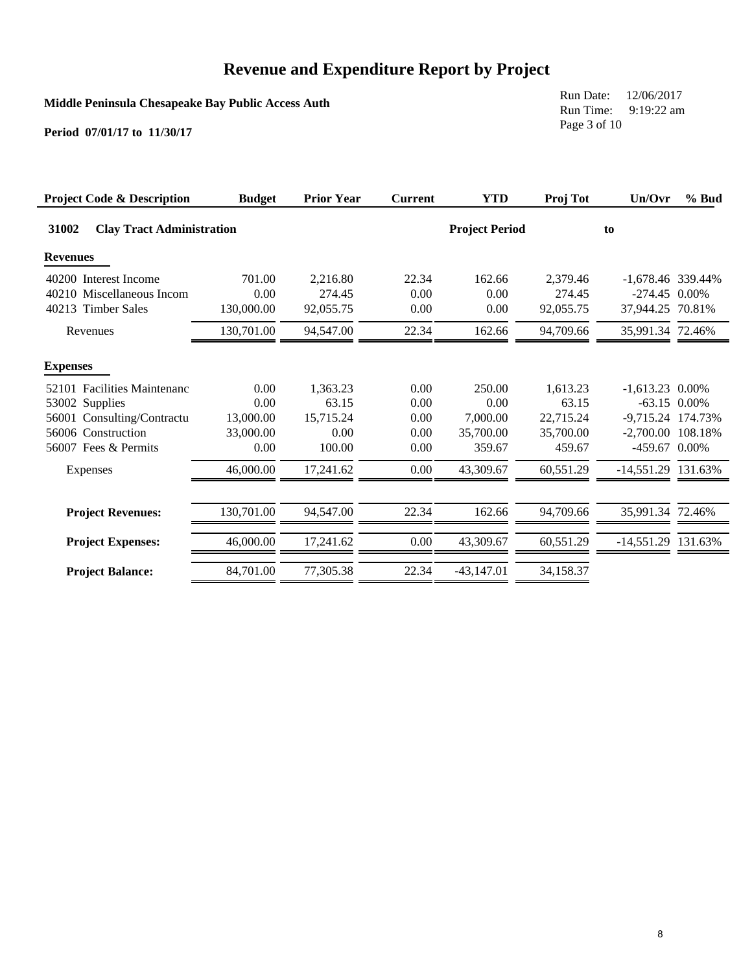**Middle Peninsula Chesapeake Bay Public Access Auth**

Run Date: 12/06/2017 Run Time: 9:19:22 am Page 3 of 10

| <b>Project Code &amp; Description</b>     | <b>Budget</b> | <b>Prior Year</b> | <b>Current</b> | <b>YTD</b>            | Proj Tot  | Un/Ovr              | % Bud          |
|-------------------------------------------|---------------|-------------------|----------------|-----------------------|-----------|---------------------|----------------|
| 31002<br><b>Clay Tract Administration</b> |               |                   |                | <b>Project Period</b> |           | to                  |                |
| <b>Revenues</b>                           |               |                   |                |                       |           |                     |                |
| 40200 Interest Income                     | 701.00        | 2,216.80          | 22.34          | 162.66                | 2,379.46  | $-1,678.46$ 339.44% |                |
| 40210 Miscellaneous Incom                 | 0.00          | 274.45            | 0.00           | 0.00                  | 274.45    | $-274.45$ 0.00%     |                |
| 40213 Timber Sales                        | 130,000.00    | 92,055.75         | 0.00           | 0.00                  | 92,055.75 | 37.944.25 70.81%    |                |
| Revenues                                  | 130,701.00    | 94,547.00         | 22.34          | 162.66                | 94,709.66 | 35,991.34 72.46%    |                |
| <b>Expenses</b>                           |               |                   |                |                       |           |                     |                |
| 52101 Facilities Maintenanc               | 0.00          | 1,363.23          | 0.00           | 250.00                | 1,613.23  | $-1,613.23$ 0.00%   |                |
| 53002 Supplies                            | 0.00          | 63.15             | 0.00           | 0.00                  | 63.15     |                     | $-63.15$ 0.00% |
| 56001 Consulting/Contractu                | 13,000.00     | 15,715.24         | 0.00           | 7,000.00              | 22,715.24 | -9,715.24 174.73%   |                |
| 56006 Construction                        | 33,000.00     | 0.00              | 0.00           | 35,700.00             | 35,700.00 | -2,700.00 108.18%   |                |
| 56007 Fees & Permits                      | 0.00          | 100.00            | 0.00           | 359.67                | 459.67    | -459.67 0.00%       |                |
| Expenses                                  | 46,000.00     | 17,241.62         | $0.00\,$       | 43,309.67             | 60,551.29 | -14,551.29 131.63%  |                |
| <b>Project Revenues:</b>                  | 130,701.00    | 94,547.00         | 22.34          | 162.66                | 94,709.66 | 35,991.34 72.46%    |                |
| <b>Project Expenses:</b>                  | 46,000.00     | 17,241.62         | 0.00           | 43,309.67             | 60,551.29 | -14,551.29 131.63%  |                |
| <b>Project Balance:</b>                   | 84,701.00     | 77,305.38         | 22.34          | $-43,147.01$          | 34,158.37 |                     |                |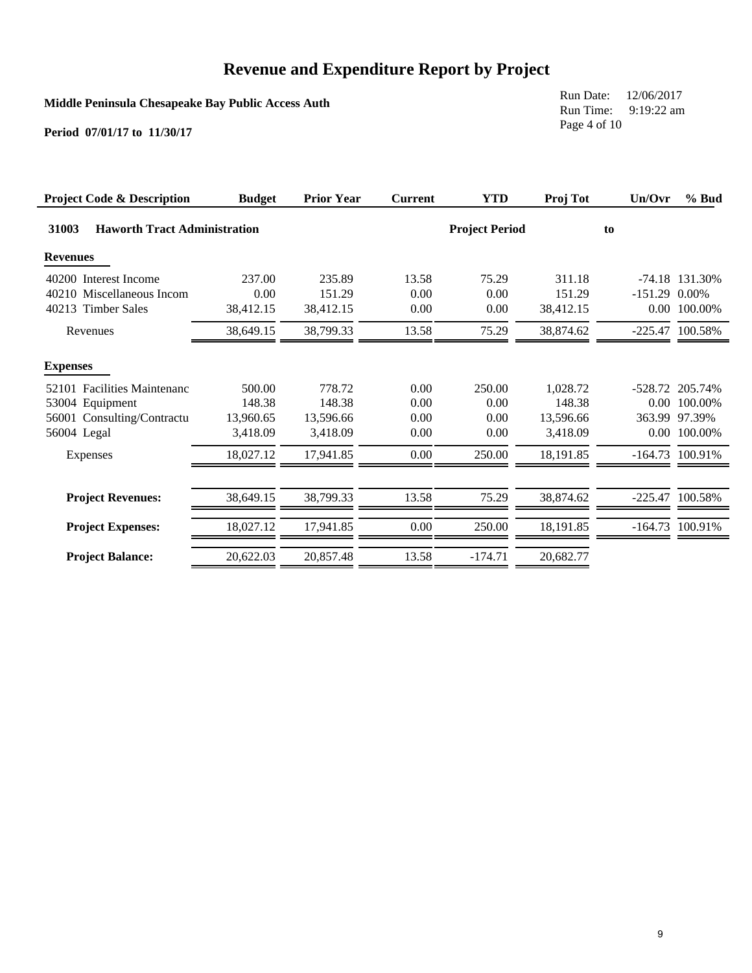**Middle Peninsula Chesapeake Bay Public Access Auth**

Run Date: 12/06/2017 Run Time: 9:19:22 am Page 4 of 10

| <b>Project Code &amp; Description</b>        | <b>Budget</b> | <b>Prior Year</b> | <b>Current</b> | <b>YTD</b>            | Proj Tot  | Un/Ovr          | % Bud             |
|----------------------------------------------|---------------|-------------------|----------------|-----------------------|-----------|-----------------|-------------------|
| <b>Haworth Tract Administration</b><br>31003 |               |                   |                | <b>Project Period</b> |           | to              |                   |
| <b>Revenues</b>                              |               |                   |                |                       |           |                 |                   |
| 40200 Interest Income                        | 237.00        | 235.89            | 13.58          | 75.29                 | 311.18    |                 | $-74.18$ 131.30%  |
| 40210 Miscellaneous Incom                    | 0.00          | 151.29            | 0.00           | 0.00                  | 151.29    | $-151.29$ 0.00% |                   |
| 40213 Timber Sales                           | 38,412.15     | 38,412.15         | 0.00           | 0.00                  | 38,412.15 |                 | 0.00 100.00%      |
| Revenues                                     | 38,649.15     | 38,799.33         | 13.58          | 75.29                 | 38,874.62 |                 | -225.47 100.58%   |
| <b>Expenses</b>                              |               |                   |                |                       |           |                 |                   |
| 52101 Facilities Maintenanc                  | 500.00        | 778.72            | 0.00           | 250.00                | 1,028.72  |                 | -528.72 205.74%   |
| 53004 Equipment                              | 148.38        | 148.38            | 0.00           | 0.00                  | 148.38    |                 | $0.00$ 100.00%    |
| 56001 Consulting/Contractu                   | 13,960.65     | 13,596.66         | 0.00           | 0.00                  | 13,596.66 |                 | 363.99 97.39%     |
| 56004 Legal                                  | 3,418.09      | 3.418.09          | 0.00           | 0.00                  | 3,418.09  |                 | 0.00 100.00%      |
| Expenses                                     | 18,027.12     | 17,941.85         | 0.00           | 250.00                | 18,191.85 |                 | $-164.73$ 100.91% |
| <b>Project Revenues:</b>                     | 38,649.15     | 38.799.33         | 13.58          | 75.29                 | 38,874.62 |                 | -225.47 100.58%   |
| <b>Project Expenses:</b>                     | 18,027.12     | 17.941.85         | 0.00           | 250.00                | 18,191.85 |                 | $-164.73$ 100.91% |
| <b>Project Balance:</b>                      | 20,622.03     | 20,857.48         | 13.58          | $-174.71$             | 20,682.77 |                 |                   |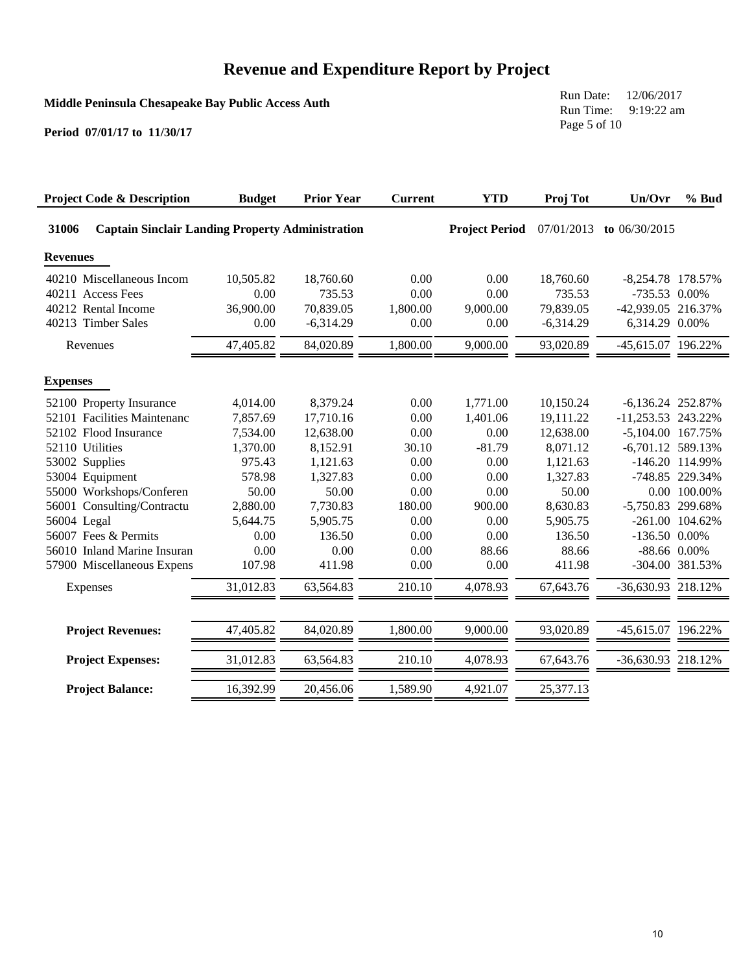**Middle Peninsula Chesapeake Bay Public Access Auth**

Run Date: 12/06/2017 Run Time: 9:19:22 am Page 5 of 10

| <b>Project Code &amp; Description</b>                                                                                                                                                                                                                                       | <b>Budget</b>                                                                                                     | <b>Prior Year</b>                                                                                                         | <b>Current</b>                                                                          | <b>YTD</b>                                                                                          | Proj Tot                                                                                                                    | Un/Ovr                                                                                                                                          | $%$ Bud                                                                      |
|-----------------------------------------------------------------------------------------------------------------------------------------------------------------------------------------------------------------------------------------------------------------------------|-------------------------------------------------------------------------------------------------------------------|---------------------------------------------------------------------------------------------------------------------------|-----------------------------------------------------------------------------------------|-----------------------------------------------------------------------------------------------------|-----------------------------------------------------------------------------------------------------------------------------|-------------------------------------------------------------------------------------------------------------------------------------------------|------------------------------------------------------------------------------|
| 31006<br><b>Captain Sinclair Landing Property Administration</b>                                                                                                                                                                                                            |                                                                                                                   |                                                                                                                           |                                                                                         | <b>Project Period</b>                                                                               | 07/01/2013                                                                                                                  | to 06/30/2015                                                                                                                                   |                                                                              |
| <b>Revenues</b>                                                                                                                                                                                                                                                             |                                                                                                                   |                                                                                                                           |                                                                                         |                                                                                                     |                                                                                                                             |                                                                                                                                                 |                                                                              |
| 40210 Miscellaneous Incom<br>40211 Access Fees<br>40212 Rental Income<br>40213 Timber Sales                                                                                                                                                                                 | 10,505.82<br>0.00<br>36,900.00<br>0.00                                                                            | 18,760.60<br>735.53<br>70,839.05<br>$-6,314.29$                                                                           | 0.00<br>0.00<br>1,800.00<br>0.00                                                        | 0.00<br>0.00<br>9,000.00<br>0.00                                                                    | 18,760.60<br>735.53<br>79,839.05<br>$-6,314.29$                                                                             | $-8,254.78$ 178.57%<br>-735.53 0.00%<br>-42,939.05 216.37%<br>6,314.29 0.00%                                                                    |                                                                              |
| Revenues                                                                                                                                                                                                                                                                    | 47,405.82                                                                                                         | 84,020.89                                                                                                                 | 1,800.00                                                                                | 9,000.00                                                                                            | 93,020.89                                                                                                                   | -45,615.07 196.22%                                                                                                                              |                                                                              |
| <b>Expenses</b>                                                                                                                                                                                                                                                             |                                                                                                                   |                                                                                                                           |                                                                                         |                                                                                                     |                                                                                                                             |                                                                                                                                                 |                                                                              |
| 52100 Property Insurance<br>52101 Facilities Maintenanc<br>52102 Flood Insurance<br>52110 Utilities<br>53002 Supplies<br>53004 Equipment<br>55000 Workshops/Conferen<br>Consulting/Contractu<br>56001<br>56004 Legal<br>56007 Fees & Permits<br>56010 Inland Marine Insuran | 4,014.00<br>7,857.69<br>7,534.00<br>1,370.00<br>975.43<br>578.98<br>50.00<br>2,880.00<br>5,644.75<br>0.00<br>0.00 | 8,379.24<br>17,710.16<br>12,638.00<br>8,152.91<br>1,121.63<br>1,327.83<br>50.00<br>7,730.83<br>5,905.75<br>136.50<br>0.00 | 0.00<br>0.00<br>0.00<br>30.10<br>0.00<br>0.00<br>0.00<br>180.00<br>0.00<br>0.00<br>0.00 | 1,771.00<br>1,401.06<br>0.00<br>$-81.79$<br>0.00<br>0.00<br>0.00<br>900.00<br>0.00<br>0.00<br>88.66 | 10,150.24<br>19,111.22<br>12,638.00<br>8,071.12<br>1,121.63<br>1,327.83<br>50.00<br>8,630.83<br>5,905.75<br>136.50<br>88.66 | $-6,136.24$ 252.87%<br>-11,253.53 243.22%<br>-5,104.00 167.75%<br>$-6,701.12$ 589.13%<br>-5,750.83 299.68%<br>$-136.50$ 0.00%<br>$-88.66$ 0.00% | $-146.20$ 114.99%<br>-748.85 229.34%<br>0.00 100.00%<br>$-261.00$ $104.62\%$ |
| 57900 Miscellaneous Expens                                                                                                                                                                                                                                                  | 107.98                                                                                                            | 411.98                                                                                                                    | 0.00                                                                                    | 0.00                                                                                                | 411.98                                                                                                                      |                                                                                                                                                 | -304.00 381.53%                                                              |
| Expenses                                                                                                                                                                                                                                                                    | 31,012.83                                                                                                         | 63,564.83                                                                                                                 | 210.10                                                                                  | 4,078.93                                                                                            | 67,643.76                                                                                                                   | -36,630.93 218.12%                                                                                                                              |                                                                              |
| <b>Project Revenues:</b>                                                                                                                                                                                                                                                    | 47,405.82                                                                                                         | 84,020.89                                                                                                                 | 1,800.00                                                                                | 9,000.00                                                                                            | 93,020.89                                                                                                                   | -45,615.07 196.22%                                                                                                                              |                                                                              |
| <b>Project Expenses:</b>                                                                                                                                                                                                                                                    | 31,012.83                                                                                                         | 63,564.83                                                                                                                 | 210.10                                                                                  | 4,078.93                                                                                            | 67,643.76                                                                                                                   | -36,630.93 218.12%                                                                                                                              |                                                                              |
| <b>Project Balance:</b>                                                                                                                                                                                                                                                     | 16,392.99                                                                                                         | 20,456.06                                                                                                                 | 1,589.90                                                                                | 4,921.07                                                                                            | 25,377.13                                                                                                                   |                                                                                                                                                 |                                                                              |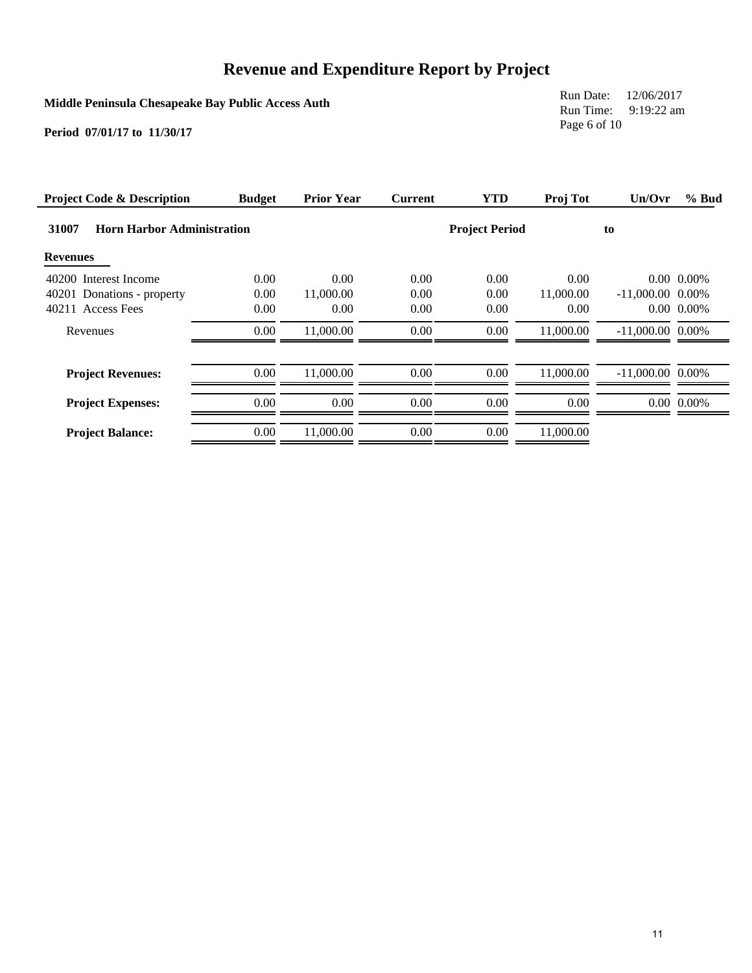**Middle Peninsula Chesapeake Bay Public Access Auth**

Run Date: 12/06/2017 Run Time: 9:19:22 am Page 6 of 10

| <b>Project Code &amp; Description</b>      | <b>Budget</b> | <b>Prior Year</b> | <b>Current</b> | <b>YTD</b>            | Proj Tot  | Un/Ovr             | % Bud            |
|--------------------------------------------|---------------|-------------------|----------------|-----------------------|-----------|--------------------|------------------|
| 31007<br><b>Horn Harbor Administration</b> |               |                   |                | <b>Project Period</b> |           | to                 |                  |
| <b>Revenues</b>                            |               |                   |                |                       |           |                    |                  |
| 40200 Interest Income                      | 0.00          | 0.00              | 0.00           | 0.00                  | 0.00      |                    | $0.00\ 0.00\%$   |
| 40201 Donations - property                 | 0.00          | 11,000.00         | 0.00           | 0.00                  | 11,000.00 | $-11,000.00$ 0.00% |                  |
| 40211 Access Fees                          | 0.00          | 0.00              | 0.00           | 0.00                  | 0.00      |                    | $0.00\ 0.00\%$   |
| Revenues                                   | 0.00          | 11,000.00         | 0.00           | 0.00                  | 11,000.00 | $-11,000.00$ 0.00% |                  |
| <b>Project Revenues:</b>                   | 0.00          | 11,000.00         | 0.00           | 0.00                  | 11,000.00 | $-11,000.00$ 0.00% |                  |
| <b>Project Expenses:</b>                   | 0.00          | 0.00              | 0.00           | 0.00                  | 0.00      |                    | $0.00 \, 0.00\%$ |
| <b>Project Balance:</b>                    | 0.00          | 11,000.00         | 0.00           | 0.00                  | 11,000.00 |                    |                  |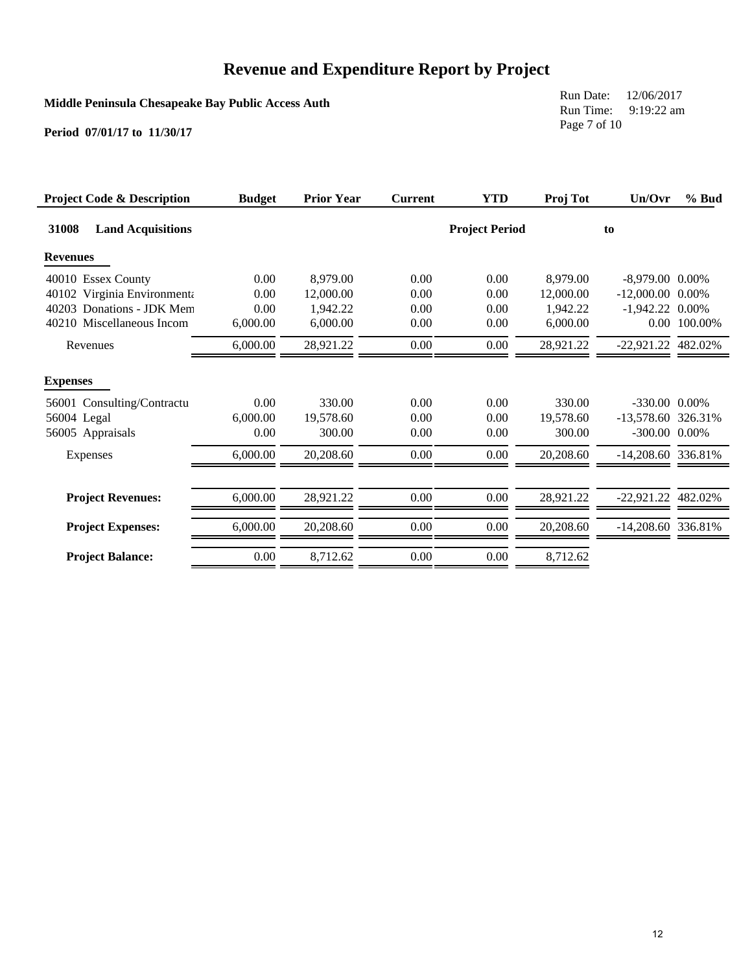**Middle Peninsula Chesapeake Bay Public Access Auth**

Run Date: 12/06/2017 Run Time: 9:19:22 am Page 7 of 10

| <b>Project Code &amp; Description</b> | <b>Budget</b> | <b>Prior Year</b> | <b>Current</b> | <b>YTD</b>            | Proj Tot  | Un/Ovr               | % Bud   |
|---------------------------------------|---------------|-------------------|----------------|-----------------------|-----------|----------------------|---------|
| 31008<br><b>Land Acquisitions</b>     |               |                   |                | <b>Project Period</b> |           | to                   |         |
| <b>Revenues</b>                       |               |                   |                |                       |           |                      |         |
| 40010 Essex County                    | 0.00          | 8,979.00          | 0.00           | 0.00                  | 8,979.00  | $-8,979.00$ 0.00%    |         |
| 40102 Virginia Environmenta           | 0.00          | 12,000.00         | 0.00           | 0.00                  | 12,000.00 | $-12,000.00$ 0.00%   |         |
| 40203 Donations - JDK Mem             | 0.00          | 1,942.22          | 0.00           | 0.00                  | 1,942.22  | $-1,942.22$ 0.00%    |         |
| 40210 Miscellaneous Incom             | 6,000.00      | 6,000.00          | 0.00           | 0.00                  | 6,000.00  | $0.00\,$             | 100.00% |
| Revenues                              | 6,000.00      | 28,921.22         | 0.00           | 0.00                  | 28,921.22 | -22,921.22 482.02%   |         |
| <b>Expenses</b>                       |               |                   |                |                       |           |                      |         |
| 56001 Consulting/Contractu            | 0.00          | 330.00            | 0.00           | 0.00                  | 330.00    | $-330.00$ $0.00\%$   |         |
| 56004 Legal                           | 6,000.00      | 19,578.60         | 0.00           | 0.00                  | 19,578.60 | -13,578.60 326.31%   |         |
| 56005 Appraisals                      | 0.00          | 300.00            | 0.00           | 0.00                  | 300.00    | -300.00 0.00%        |         |
| Expenses                              | 6,000.00      | 20,208.60         | 0.00           | 0.00                  | 20,208.60 | $-14,208.60$ 336.81% |         |
|                                       |               |                   |                |                       |           |                      |         |
| <b>Project Revenues:</b>              | 6,000.00      | 28.921.22         | 0.00           | 0.00                  | 28,921.22 | $-22.921.22$ 482.02% |         |
| <b>Project Expenses:</b>              | 6,000.00      | 20,208.60         | 0.00           | 0.00                  | 20,208.60 | -14,208.60 336.81%   |         |
| <b>Project Balance:</b>               | $0.00\,$      | 8,712.62          | 0.00           | $0.00\,$              | 8,712.62  |                      |         |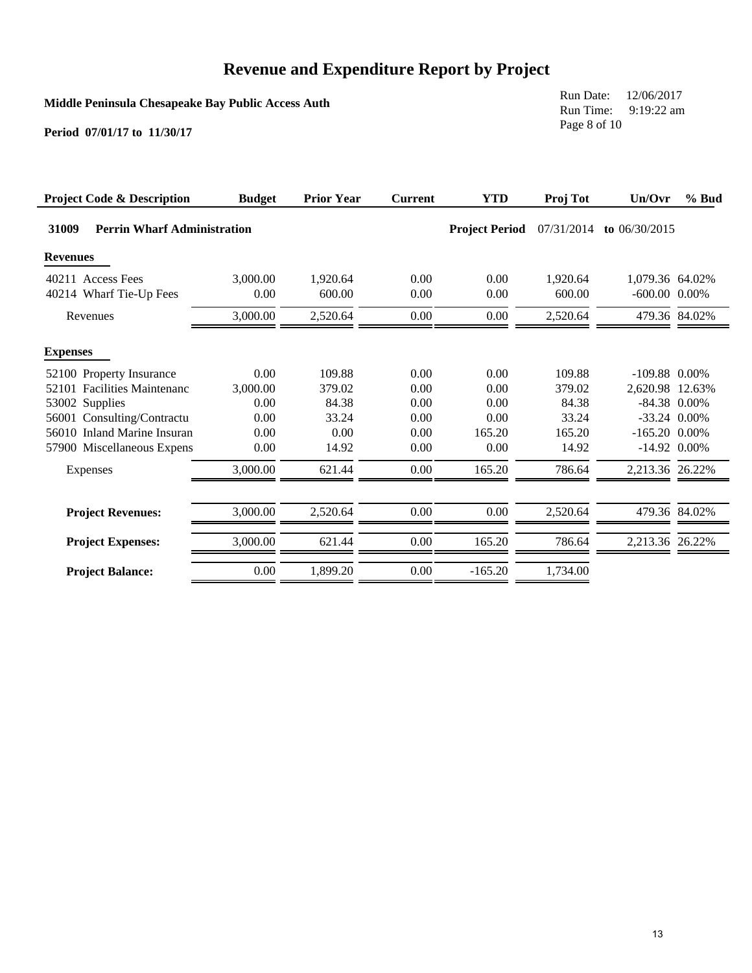**Middle Peninsula Chesapeake Bay Public Access Auth**

Run Date: 12/06/2017 Run Time: 9:19:22 am Page 8 of 10

| <b>Project Code &amp; Description</b>       | <b>Budget</b> | <b>Prior Year</b> | <b>Current</b> | <b>YTD</b>            | Proj Tot   | Un/Ovr             | $%$ Bud       |
|---------------------------------------------|---------------|-------------------|----------------|-----------------------|------------|--------------------|---------------|
| 31009<br><b>Perrin Wharf Administration</b> |               |                   |                | <b>Project Period</b> | 07/31/2014 | to $06/30/2015$    |               |
| <b>Revenues</b>                             |               |                   |                |                       |            |                    |               |
| 40211 Access Fees                           | 3,000.00      | 1.920.64          | 0.00           | 0.00                  | 1.920.64   | 1.079.36 64.02%    |               |
| 40214 Wharf Tie-Up Fees                     | 0.00          | 600.00            | 0.00           | 0.00                  | 600.00     | $-600.00$ $0.00\%$ |               |
| Revenues                                    | 3,000.00      | 2,520.64          | 0.00           | 0.00                  | 2,520.64   |                    | 479.36 84.02% |
| <b>Expenses</b>                             |               |                   |                |                       |            |                    |               |
| 52100 Property Insurance                    | 0.00          | 109.88            | 0.00           | 0.00                  | 109.88     | $-109.88$ 0.00%    |               |
| 52101 Facilities Maintenanc                 | 3,000.00      | 379.02            | 0.00           | 0.00                  | 379.02     | 2,620.98 12.63%    |               |
| 53002 Supplies                              | 0.00          | 84.38             | 0.00           | 0.00                  | 84.38      | $-84.38$ 0.00%     |               |
| 56001 Consulting/Contractu                  | 0.00          | 33.24             | 0.00           | 0.00                  | 33.24      | $-33.24$ 0.00%     |               |
| 56010 Inland Marine Insuran                 | 0.00          | 0.00              | 0.00           | 165.20                | 165.20     | $-165.20$ 0.00%    |               |
| 57900 Miscellaneous Expens                  | 0.00          | 14.92             | 0.00           | 0.00                  | 14.92      | $-14.92$ 0.00%     |               |
| Expenses                                    | 3,000.00      | 621.44            | 0.00           | 165.20                | 786.64     | 2,213.36 26.22%    |               |
|                                             |               |                   |                |                       |            |                    |               |
| <b>Project Revenues:</b>                    | 3,000.00      | 2,520.64          | $0.00\,$       | 0.00                  | 2,520.64   |                    | 479.36 84.02% |
| <b>Project Expenses:</b>                    | 3,000.00      | 621.44            | 0.00           | 165.20                | 786.64     | 2,213.36 26.22%    |               |
| <b>Project Balance:</b>                     | $0.00\,$      | 1,899.20          | 0.00           | $-165.20$             | 1,734.00   |                    |               |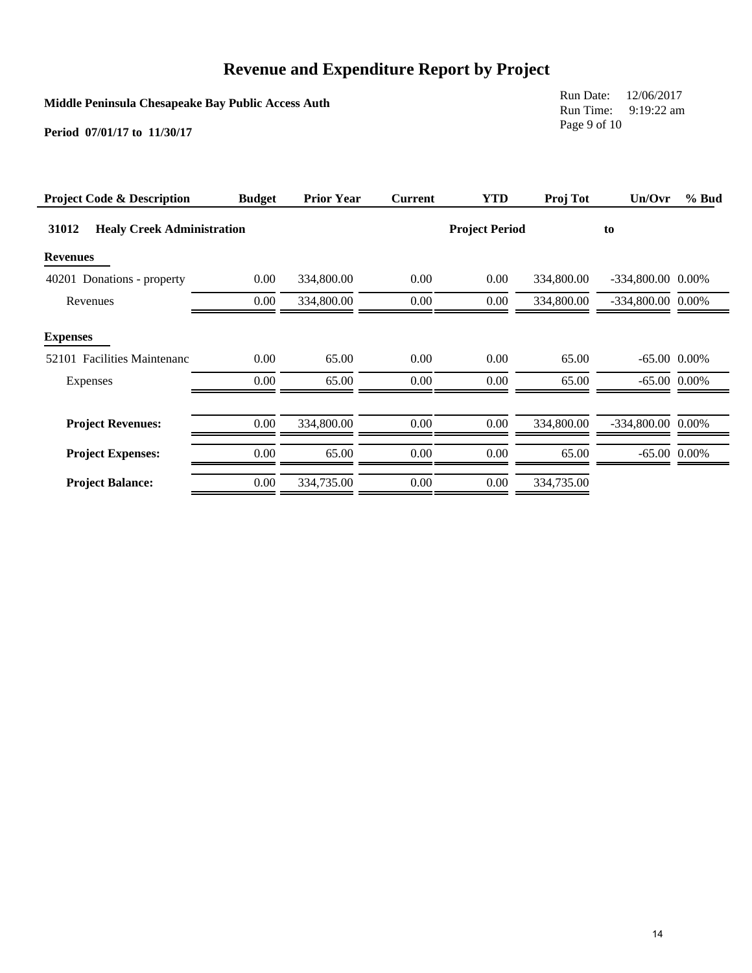**Middle Peninsula Chesapeake Bay Public Access Auth**

Run Date: 12/06/2017 Run Time: 9:19:22 am Page 9 of 10

| <b>Project Code &amp; Description</b>      | <b>Budget</b> | <b>Prior Year</b> | <b>Current</b> | <b>YTD</b>            | Proj Tot   | Un/Ovr            | $%$ Bud        |
|--------------------------------------------|---------------|-------------------|----------------|-----------------------|------------|-------------------|----------------|
| 31012<br><b>Healy Creek Administration</b> |               |                   |                | <b>Project Period</b> |            | to                |                |
| <b>Revenues</b>                            |               |                   |                |                       |            |                   |                |
| 40201 Donations - property                 | 0.00          | 334,800.00        | 0.00           | 0.00                  | 334,800.00 | -334,800.00 0.00% |                |
| Revenues                                   | 0.00          | 334,800.00        | $0.00\,$       | 0.00                  | 334,800.00 | -334,800.00 0.00% |                |
| <b>Expenses</b>                            |               |                   |                |                       |            |                   |                |
| 52101 Facilities Maintenanc                | 0.00          | 65.00             | 0.00           | 0.00                  | 65.00      |                   | $-65.00$ 0.00% |
| Expenses                                   | 0.00          | 65.00             | 0.00           | 0.00                  | 65.00      |                   | $-65.00$ 0.00% |
| <b>Project Revenues:</b>                   | 0.00          | 334,800.00        | $0.00\,$       | 0.00                  | 334,800.00 | -334,800.00 0.00% |                |
| <b>Project Expenses:</b>                   | 0.00          | 65.00             | $0.00\,$       | 0.00                  | 65.00      |                   | $-65.00$ 0.00% |
| <b>Project Balance:</b>                    | 0.00          | 334,735.00        | $0.00\,$       | 0.00                  | 334,735.00 |                   |                |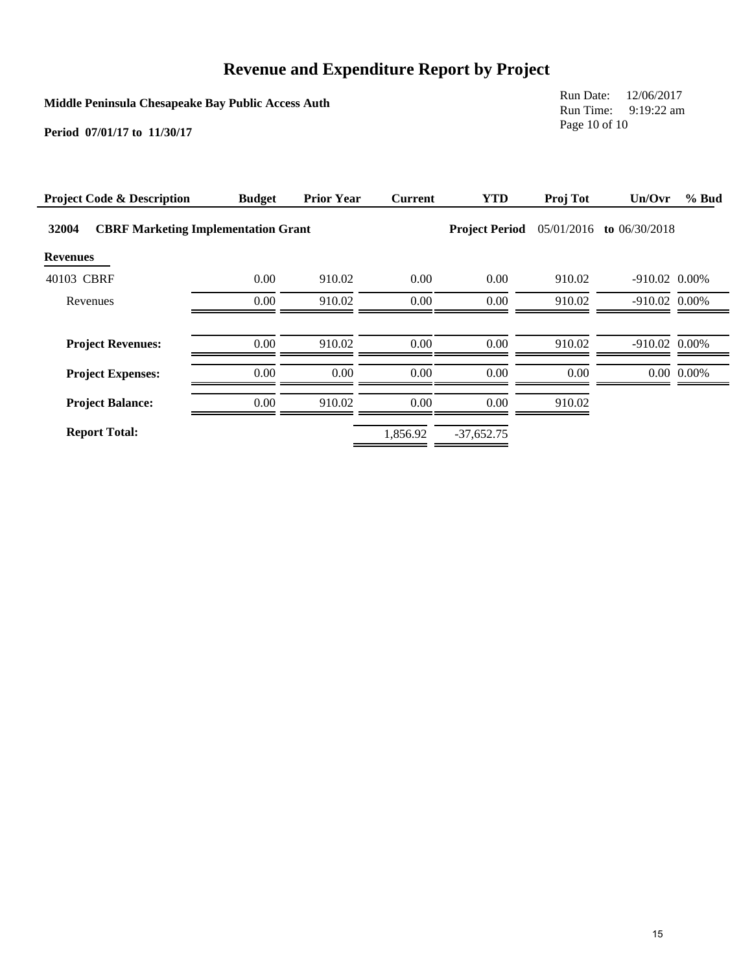**Middle Peninsula Chesapeake Bay Public Access Auth**

Run Date: 12/06/2017 Run Time: 9:19:22 am Page 10 of 10

| <b>Project Code &amp; Description</b>               | <b>Budget</b> | <b>Prior Year</b> | <b>Current</b> | <b>YTD</b>            | Proj Tot   | Un/Ovr                 | % Bud          |
|-----------------------------------------------------|---------------|-------------------|----------------|-----------------------|------------|------------------------|----------------|
| 32004<br><b>CBRF Marketing Implementation Grant</b> |               |                   |                | <b>Project Period</b> | 05/01/2016 | to $06/30/2018$        |                |
| <b>Revenues</b>                                     |               |                   |                |                       |            |                        |                |
| 40103 CBRF                                          | 0.00          | 910.02            | 0.00           | 0.00                  | 910.02     | $-910.02$ 0.00%        |                |
| Revenues                                            | 0.00          | 910.02            | $0.00\,$       | 0.00                  | 910.02     | $-910.02$ 0.00%        |                |
|                                                     |               |                   |                |                       |            |                        |                |
| <b>Project Revenues:</b>                            | 0.00          | 910.02            | 0.00           | 0.00                  | 910.02     | $-910.02 \quad 0.00\%$ |                |
| <b>Project Expenses:</b>                            | 0.00          | 0.00              | 0.00           | 0.00                  | 0.00       |                        | $0.00\ 0.00\%$ |
| <b>Project Balance:</b>                             | 0.00          | 910.02            | 0.00           | 0.00                  | 910.02     |                        |                |
| <b>Report Total:</b>                                |               |                   | 1,856.92       | $-37,652.75$          |            |                        |                |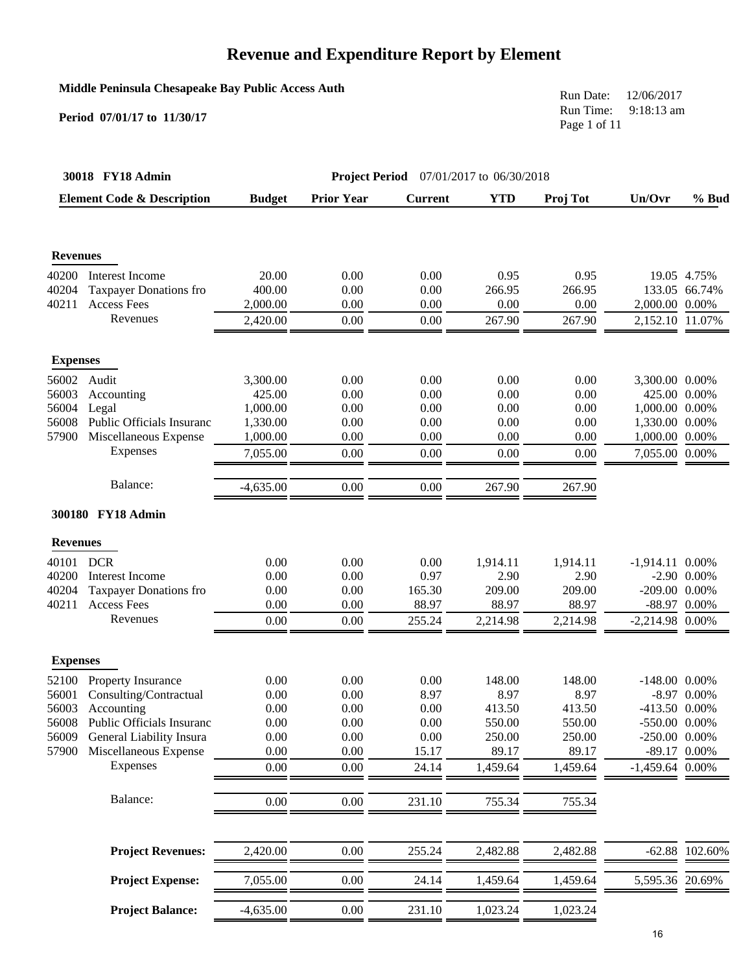#### **Middle Peninsula Chesapeake Bay Public Access Auth**

#### **Period 07/01/17 to 11/30/17**

Run Date: 12/06/2017 Run Time: 9:18:13 am Page 1 of 11

|                 | 30018 FY18 Admin                      |               |                   | <b>Project Period</b> 07/01/2017 to 06/30/2018 |            |          |                    |                  |
|-----------------|---------------------------------------|---------------|-------------------|------------------------------------------------|------------|----------|--------------------|------------------|
|                 | <b>Element Code &amp; Description</b> | <b>Budget</b> | <b>Prior Year</b> | <b>Current</b>                                 | <b>YTD</b> | Proj Tot | Un/Ovr             | % Bud            |
| <b>Revenues</b> |                                       |               |                   |                                                |            |          |                    |                  |
| 40200           | Interest Income                       | 20.00         | 0.00              | 0.00                                           | 0.95       | 0.95     |                    | 19.05 4.75%      |
| 40204           | <b>Taxpayer Donations fro</b>         | 400.00        | 0.00              | 0.00                                           | 266.95     | 266.95   |                    | 133.05 66.74%    |
| 40211           | <b>Access Fees</b>                    | 2,000.00      | 0.00              | 0.00                                           | 0.00       | 0.00     | 2,000.00 0.00%     |                  |
|                 | Revenues                              | 2,420.00      | 0.00              | 0.00                                           | 267.90     | 267.90   | 2,152.10 11.07%    |                  |
| <b>Expenses</b> |                                       |               |                   |                                                |            |          |                    |                  |
| 56002           | Audit                                 | 3,300.00      | 0.00              | 0.00                                           | 0.00       | 0.00     | 3,300.00 0.00%     |                  |
| 56003           | Accounting                            | 425.00        | 0.00              | 0.00                                           | 0.00       | 0.00     | 425.00 0.00%       |                  |
| 56004           | Legal                                 | 1,000.00      | 0.00              | 0.00                                           | 0.00       | 0.00     | 1,000.00 0.00%     |                  |
| 56008           | Public Officials Insuranc             | 1,330.00      | 0.00              | 0.00                                           | 0.00       | 0.00     | 1,330.00 0.00%     |                  |
| 57900           | Miscellaneous Expense                 | 1,000.00      | 0.00              | 0.00                                           | 0.00       | 0.00     | 1,000.00 0.00%     |                  |
|                 | Expenses                              | 7,055.00      | 0.00              | 0.00                                           | 0.00       | 0.00     | 7,055.00 0.00%     |                  |
|                 | Balance:                              | $-4,635.00$   | 0.00              | 0.00                                           | 267.90     | 267.90   |                    |                  |
|                 | 300180 FY18 Admin                     |               |                   |                                                |            |          |                    |                  |
| <b>Revenues</b> |                                       |               |                   |                                                |            |          |                    |                  |
| 40101           | <b>DCR</b>                            | 0.00          | 0.00              | 0.00                                           | 1,914.11   | 1,914.11 | $-1,914.11$ 0.00%  |                  |
| 40200           | Interest Income                       | 0.00          | 0.00              | 0.97                                           | 2.90       | 2.90     |                    | $-2.90$ 0.00%    |
| 40204           | <b>Taxpayer Donations fro</b>         | 0.00          | 0.00              | 165.30                                         | 209.00     | 209.00   | $-209.00$ $0.00\%$ |                  |
| 40211           | <b>Access Fees</b>                    | 0.00          | 0.00              | 88.97                                          | 88.97      | 88.97    |                    | $-88.97$ 0.00%   |
|                 | Revenues                              | 0.00          | 0.00              | 255.24                                         | 2,214.98   | 2,214.98 | $-2,214.98$ 0.00%  |                  |
| <b>Expenses</b> |                                       |               |                   |                                                |            |          |                    |                  |
| 52100           | Property Insurance                    | 0.00          | 0.00              | 0.00                                           | 148.00     | 148.00   | $-148.00$ 0.00%    |                  |
| 56001           | Consulting/Contractual                | 0.00          | 0.00              | 8.97                                           | 8.97       | 8.97     |                    | $-8.97$ 0.00%    |
| 56003           | Accounting                            | 0.00          | 0.00              | 0.00                                           | 413.50     | 413.50   | -413.50 0.00%      |                  |
|                 | 56008 Public Officials Insuranc       | $0.00\,$      | $0.00\,$          | 0.00                                           | 550.00     | 550.00   | -550.00 0.00%      |                  |
| 56009           | General Liability Insura              | 0.00          | 0.00              | 0.00                                           | 250.00     | 250.00   | -250.00 0.00%      |                  |
| 57900           | Miscellaneous Expense                 | 0.00          | 0.00              | 15.17                                          | 89.17      | 89.17    |                    | $-89.17$ 0.00%   |
|                 | Expenses                              | 0.00          | 0.00              | 24.14                                          | 1,459.64   | 1,459.64 | $-1,459.64$ 0.00%  |                  |
|                 | Balance:                              | 0.00          | 0.00              | 231.10                                         | 755.34     | 755.34   |                    |                  |
|                 | <b>Project Revenues:</b>              | 2,420.00      | 0.00              | 255.24                                         | 2,482.88   | 2,482.88 |                    | $-62.88$ 102.60% |
|                 | <b>Project Expense:</b>               | 7,055.00      | 0.00              | 24.14                                          | 1,459.64   | 1,459.64 | 5,595.36 20.69%    |                  |
|                 | <b>Project Balance:</b>               | $-4,635.00$   | 0.00              | 231.10                                         | 1,023.24   | 1,023.24 |                    |                  |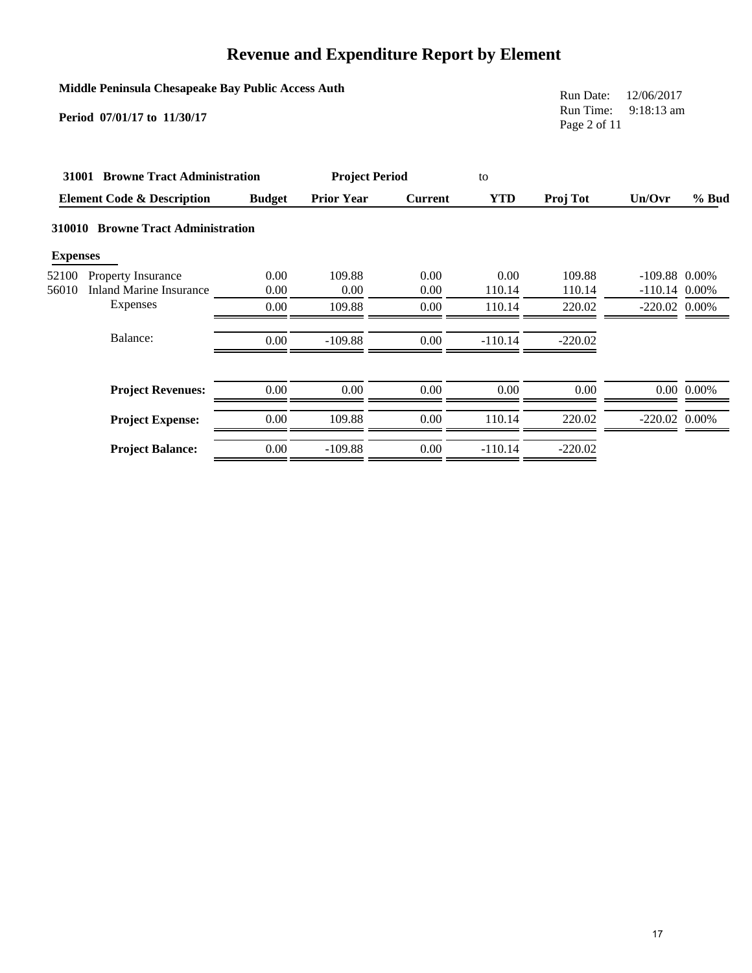| Middle Peninsula Chesapeake Bay Public Access Auth |  |  |  |
|----------------------------------------------------|--|--|--|
|----------------------------------------------------|--|--|--|

**Period 07/01/17 to 11/30/17**

Run Date: 12/06/2017 Run Time: 9:18:13 am Page 2 of 11

|                 | 31001 Browne Tract Administration     |               | <b>Project Period</b> |                | to        |           |                 |                |
|-----------------|---------------------------------------|---------------|-----------------------|----------------|-----------|-----------|-----------------|----------------|
|                 | <b>Element Code &amp; Description</b> | <b>Budget</b> | <b>Prior Year</b>     | <b>Current</b> | YTD       | Proj Tot  | Un/Ovr          | $%$ Bud        |
|                 | 310010 Browne Tract Administration    |               |                       |                |           |           |                 |                |
| <b>Expenses</b> |                                       |               |                       |                |           |           |                 |                |
| 52100           | <b>Property Insurance</b>             | 0.00          | 109.88                | 0.00           | 0.00      | 109.88    | $-109.88$ 0.00% |                |
| 56010           | <b>Inland Marine Insurance</b>        | 0.00          | 0.00                  | 0.00           | 110.14    | 110.14    | $-110.14$ 0.00% |                |
|                 | Expenses                              | 0.00          | 109.88                | 0.00           | 110.14    | 220.02    | $-220.02$ 0.00% |                |
|                 | Balance:                              | 0.00          | $-109.88$             | 0.00           | $-110.14$ | $-220.02$ |                 |                |
|                 | <b>Project Revenues:</b>              | 0.00          | 0.00                  | 0.00           | 0.00      | 0.00      |                 | $0.00\ 0.00\%$ |
|                 | <b>Project Expense:</b>               | 0.00          | 109.88                | 0.00           | 110.14    | 220.02    | $-220.02$ 0.00% |                |
|                 | <b>Project Balance:</b>               | 0.00          | $-109.88$             | 0.00           | $-110.14$ | $-220.02$ |                 |                |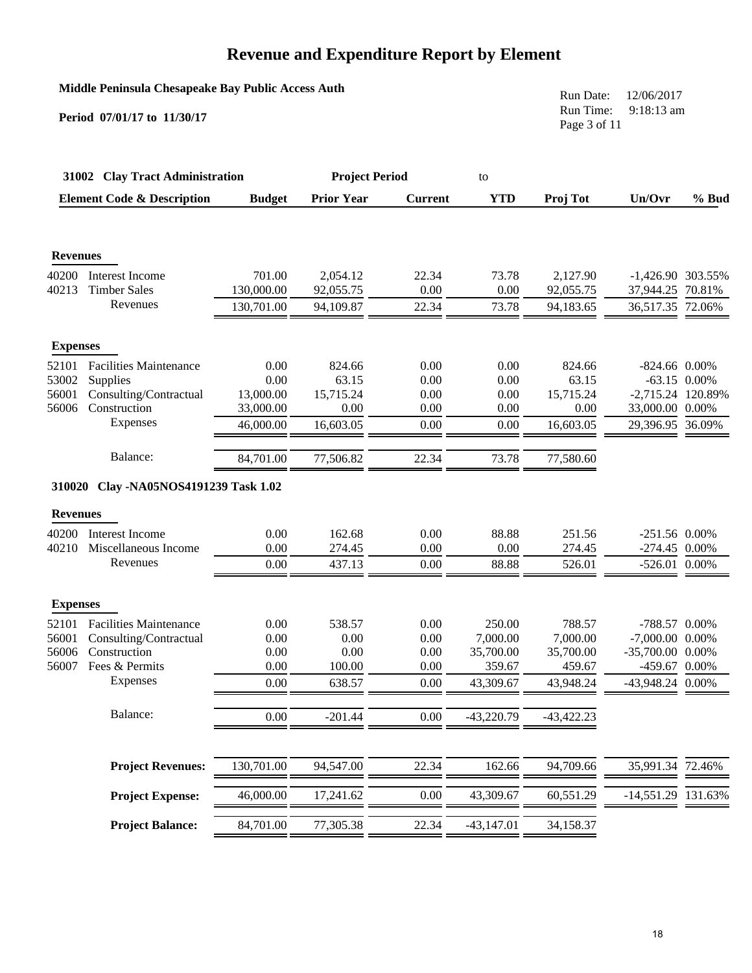#### **Middle Peninsula Chesapeake Bay Public Access Auth**

**Period 07/01/17 to 11/30/17**

Run Date: 12/06/2017 Run Time: 9:18:13 am Page 3 of 11

|                 | 31002 Clay Tract Administration       |               | <b>Project Period</b> |                | to           |              |                    |                |
|-----------------|---------------------------------------|---------------|-----------------------|----------------|--------------|--------------|--------------------|----------------|
|                 | <b>Element Code &amp; Description</b> | <b>Budget</b> | <b>Prior Year</b>     | <b>Current</b> | <b>YTD</b>   | Proj Tot     | Un/Ovr             | $%$ Bud        |
| <b>Revenues</b> |                                       |               |                       |                |              |              |                    |                |
| 40200           | Interest Income                       | 701.00        | 2,054.12              | 22.34          | 73.78        | 2,127.90     | -1,426.90 303.55%  |                |
| 40213           | <b>Timber Sales</b>                   | 130,000.00    | 92,055.75             | 0.00           | 0.00         | 92,055.75    | 37,944.25 70.81%   |                |
|                 | Revenues                              | 130,701.00    | 94,109.87             | 22.34          | 73.78        | 94,183.65    | 36,517.35 72.06%   |                |
| <b>Expenses</b> |                                       |               |                       |                |              |              |                    |                |
| 52101           | <b>Facilities Maintenance</b>         | 0.00          | 824.66                | 0.00           | 0.00         | 824.66       | $-824.66$ 0.00%    |                |
| 53002           | Supplies                              | 0.00          | 63.15                 | 0.00           | 0.00         | 63.15        |                    | $-63.15$ 0.00% |
| 56001           | Consulting/Contractual                | 13,000.00     | 15,715.24             | 0.00           | 0.00         | 15,715.24    | -2,715.24 120.89%  |                |
| 56006           | Construction                          | 33,000.00     | 0.00                  | 0.00           | 0.00         | 0.00         | 33,000.00 0.00%    |                |
|                 | Expenses                              | 46,000.00     | 16,603.05             | 0.00           | 0.00         | 16,603.05    | 29,396.95 36.09%   |                |
|                 | Balance:                              | 84,701.00     | 77,506.82             | 22.34          | 73.78        | 77,580.60    |                    |                |
| 310020          | Clay -NA05NOS4191239 Task 1.02        |               |                       |                |              |              |                    |                |
| <b>Revenues</b> |                                       |               |                       |                |              |              |                    |                |
| 40200           | Interest Income                       | 0.00          | 162.68                | 0.00           | 88.88        | 251.56       | $-251.56$ 0.00%    |                |
| 40210           | Miscellaneous Income                  | 0.00          | 274.45                | 0.00           | 0.00         | 274.45       | $-274.45$ 0.00%    |                |
|                 | Revenues                              | 0.00          | 437.13                | 0.00           | 88.88        | 526.01       | -526.01 0.00%      |                |
| <b>Expenses</b> |                                       |               |                       |                |              |              |                    |                |
| 52101           | <b>Facilities Maintenance</b>         | 0.00          | 538.57                | 0.00           | 250.00       | 788.57       | -788.57 0.00%      |                |
| 56001           | Consulting/Contractual                | 0.00          | 0.00                  | 0.00           | 7,000.00     | 7,000.00     | -7,000.00 0.00%    |                |
| 56006           | Construction                          | 0.00          | 0.00                  | 0.00           | 35,700.00    | 35,700.00    | $-35,700.00$ 0.00% |                |
| 56007           | Fees & Permits                        | 0.00          | 100.00                | 0.00           | 359.67       | 459.67       | -459.67 0.00%      |                |
|                 | Expenses                              | 0.00          | 638.57                | 0.00           | 43,309.67    | 43,948.24    | -43,948.24 0.00%   |                |
|                 | Balance:                              | 0.00          | $-201.44$             | 0.00           | $-43,220.79$ | $-43,422.23$ |                    |                |
|                 | <b>Project Revenues:</b>              | 130,701.00    | 94,547.00             | 22.34          | 162.66       | 94,709.66    | 35,991.34 72.46%   |                |
|                 |                                       |               |                       |                |              |              |                    |                |
|                 | <b>Project Expense:</b>               | 46,000.00     | 17,241.62             | 0.00           | 43,309.67    | 60,551.29    | $-14,551.29$       | 131.63%        |
|                 | <b>Project Balance:</b>               | 84,701.00     | 77,305.38             | 22.34          | $-43,147.01$ | 34,158.37    |                    |                |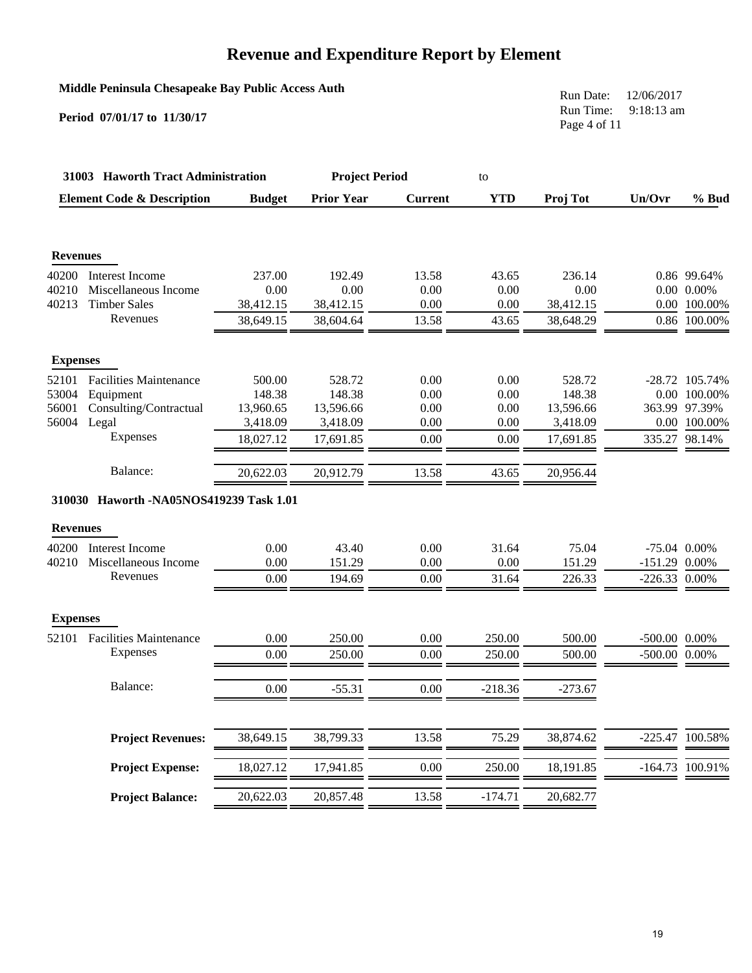#### **Middle Peninsula Chesapeake Bay Public Access Auth**

**Period 07/01/17 to 11/30/17**

Run Date: 12/06/2017 Run Time: 9:18:13 am Page 4 of 11

|                 | 31003 Haworth Tract Administration      |               | <b>Project Period</b> |                | to         |           |                    |                 |
|-----------------|-----------------------------------------|---------------|-----------------------|----------------|------------|-----------|--------------------|-----------------|
|                 | <b>Element Code &amp; Description</b>   | <b>Budget</b> | <b>Prior Year</b>     | <b>Current</b> | <b>YTD</b> | Proj Tot  | Un/Ovr             | % Bud           |
| <b>Revenues</b> |                                         |               |                       |                |            |           |                    |                 |
| 40200           | Interest Income                         | 237.00        | 192.49                | 13.58          | 43.65      | 236.14    |                    | 0.86 99.64%     |
| 40210           | Miscellaneous Income                    | 0.00          | 0.00                  | 0.00           | 0.00       | 0.00      |                    | $0.00\ 0.00\%$  |
| 40213           | <b>Timber Sales</b>                     | 38,412.15     | 38,412.15             | 0.00           | 0.00       | 38,412.15 |                    | 0.00 100.00%    |
|                 | Revenues                                | 38,649.15     | 38,604.64             | 13.58          | 43.65      | 38,648.29 |                    | 0.86 100.00%    |
| <b>Expenses</b> |                                         |               |                       |                |            |           |                    |                 |
| 52101           | <b>Facilities Maintenance</b>           | 500.00        | 528.72                | 0.00           | 0.00       | 528.72    |                    | -28.72 105.74%  |
| 53004           | Equipment                               | 148.38        | 148.38                | 0.00           | 0.00       | 148.38    |                    | 0.00 100.00%    |
| 56001           | Consulting/Contractual                  | 13,960.65     | 13,596.66             | 0.00           | 0.00       | 13,596.66 |                    | 363.99 97.39%   |
| 56004           | Legal                                   | 3,418.09      | 3,418.09              | 0.00           | 0.00       | 3,418.09  |                    | 0.00 100.00%    |
|                 | Expenses                                | 18,027.12     | 17,691.85             | 0.00           | 0.00       | 17,691.85 |                    | 335.27 98.14%   |
|                 | Balance:                                | 20,622.03     | 20,912.79             | 13.58          | 43.65      | 20,956.44 |                    |                 |
|                 | 310030 Haworth -NA05NOS419239 Task 1.01 |               |                       |                |            |           |                    |                 |
| <b>Revenues</b> |                                         |               |                       |                |            |           |                    |                 |
| 40200           | <b>Interest Income</b>                  | 0.00          | 43.40                 | 0.00           | 31.64      | 75.04     | $-75.04$ 0.00%     |                 |
| 40210           | Miscellaneous Income                    | 0.00          | 151.29                | 0.00           | 0.00       | 151.29    | $-151.29$ 0.00%    |                 |
|                 | Revenues                                | 0.00          | 194.69                | 0.00           | 31.64      | 226.33    | $-226.33$ 0.00%    |                 |
| <b>Expenses</b> |                                         |               |                       |                |            |           |                    |                 |
| 52101           | <b>Facilities Maintenance</b>           | 0.00          | 250.00                | 0.00           | 250.00     | 500.00    | $-500.00$ $0.00\%$ |                 |
|                 | Expenses                                | 0.00          | 250.00                | 0.00           | 250.00     | 500.00    | -500.00 0.00%      |                 |
|                 | Balance:                                | 0.00          | $-55.31$              | 0.00           | $-218.36$  | $-273.67$ |                    |                 |
|                 |                                         |               |                       |                |            |           |                    |                 |
|                 | <b>Project Revenues:</b>                | 38,649.15     | 38,799.33             | 13.58          | 75.29      | 38,874.62 |                    | -225.47 100.58% |
|                 | <b>Project Expense:</b>                 | 18,027.12     | 17,941.85             | 0.00           | 250.00     | 18,191.85 |                    | -164.73 100.91% |
|                 | <b>Project Balance:</b>                 | 20,622.03     | 20,857.48             | 13.58          | $-174.71$  | 20,682.77 |                    |                 |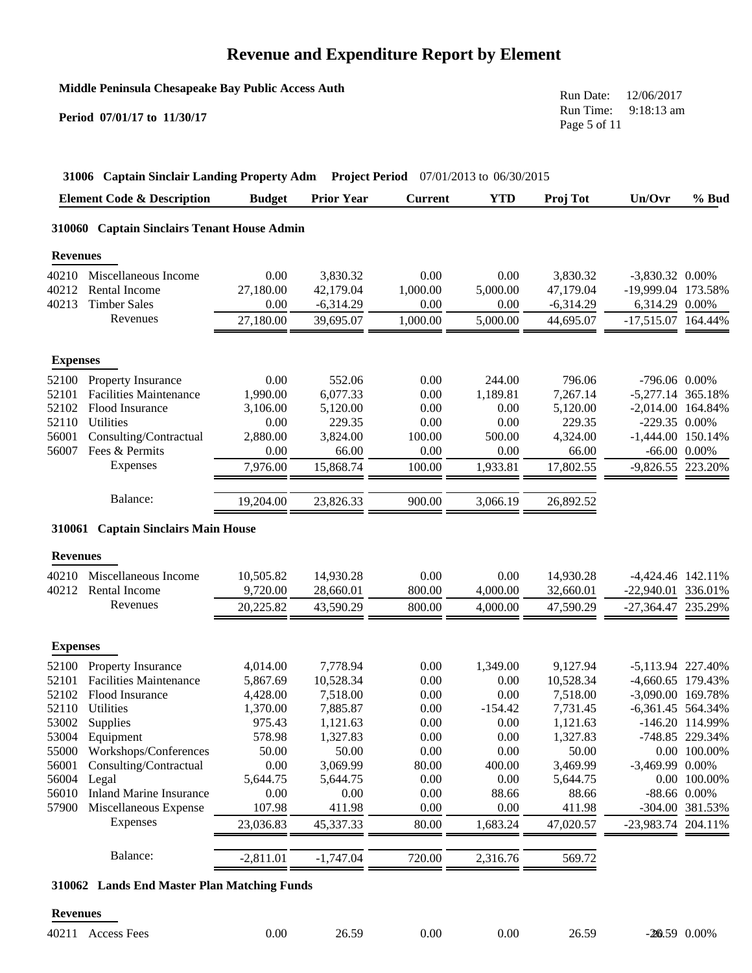**Middle Peninsula Chesapeake Bay Public Access Auth**

**Period 07/01/17 to 11/30/17**

Run Date: 12/06/2017 Run Time: 9:18:13 am Page 5 of 11

|                 | <b>Element Code &amp; Description</b>       | <b>Budget</b> | <b>Prior Year</b> | <b>Current</b> | <b>YTD</b> | Proj Tot    | Un/Ovr               | $%$ Bud           |
|-----------------|---------------------------------------------|---------------|-------------------|----------------|------------|-------------|----------------------|-------------------|
|                 | 310060 Captain Sinclairs Tenant House Admin |               |                   |                |            |             |                      |                   |
| <b>Revenues</b> |                                             |               |                   |                |            |             |                      |                   |
| 40210           | Miscellaneous Income                        | 0.00          | 3,830.32          | 0.00           | 0.00       | 3,830.32    | $-3,830.32$ 0.00%    |                   |
| 40212           | Rental Income                               | 27,180.00     | 42,179.04         | 1,000.00       | 5,000.00   | 47,179.04   | -19,999.04 173.58%   |                   |
| 40213           | <b>Timber Sales</b>                         | 0.00          | $-6,314.29$       | 0.00           | 0.00       | $-6,314.29$ | 6,314.29 0.00%       |                   |
|                 | Revenues                                    | 27,180.00     | 39,695.07         | 1,000.00       | 5,000.00   | 44,695.07   | $-17,515.07$ 164.44% |                   |
| <b>Expenses</b> |                                             |               |                   |                |            |             |                      |                   |
| 52100           | Property Insurance                          | 0.00          | 552.06            | 0.00           | 244.00     | 796.06      | -796.06 0.00%        |                   |
| 52101           | <b>Facilities Maintenance</b>               | 1,990.00      | 6,077.33          | 0.00           | 1,189.81   | 7,267.14    | -5,277.14 365.18%    |                   |
| 52102           | Flood Insurance                             | 3,106.00      | 5,120.00          | 0.00           | 0.00       | 5,120.00    | -2,014.00 164.84%    |                   |
| 52110           | Utilities                                   | 0.00          | 229.35            | 0.00           | 0.00       | 229.35      | $-229.35$ 0.00%      |                   |
| 56001           | Consulting/Contractual                      | 2,880.00      | 3,824.00          | 100.00         | 500.00     | 4,324.00    | $-1,444.00$ 150.14%  |                   |
| 56007           | Fees & Permits                              | 0.00          | 66.00             | 0.00           | 0.00       | 66.00       |                      | $-66.00$ $0.00\%$ |
|                 | Expenses                                    | 7,976.00      | 15,868.74         | 100.00         | 1,933.81   | 17,802.55   | -9,826.55 223.20%    |                   |
|                 | Balance:                                    | 19,204.00     | 23,826.33         | 900.00         | 3,066.19   | 26,892.52   |                      |                   |
|                 | 310061 Captain Sinclairs Main House         |               |                   |                |            |             |                      |                   |
| <b>Revenues</b> |                                             |               |                   |                |            |             |                      |                   |
| 40210           | Miscellaneous Income                        | 10,505.82     | 14,930.28         | 0.00           | 0.00       | 14,930.28   | -4,424.46 142.11%    |                   |
| 40212           | Rental Income                               | 9,720.00      | 28,660.01         | 800.00         | 4,000.00   | 32,660.01   | -22,940.01 336.01%   |                   |
|                 | Revenues                                    | 20,225.82     | 43,590.29         | 800.00         | 4,000.00   | 47,590.29   | -27,364.47 235.29%   |                   |
| <b>Expenses</b> |                                             |               |                   |                |            |             |                      |                   |
| 52100           | Property Insurance                          | 4,014.00      | 7,778.94          | 0.00           | 1,349.00   | 9,127.94    | -5,113.94 227.40%    |                   |
| 52101           | <b>Facilities Maintenance</b>               | 5,867.69      | 10,528.34         | 0.00           | 0.00       | 10,528.34   | -4,660.65 179.43%    |                   |
|                 | 52102 Flood Insurance                       | 4,428.00      | 7,518.00          | 0.00           | 0.00       | 7,518.00    | -3,090.00 169.78%    |                   |
|                 | 52110 Utilities                             | 1,370.00      | 7,885.87          | 0.00           | $-154.42$  | 7,731.45    | -6,361.45 564.34%    |                   |
| 53002           | Supplies                                    | 975.43        | 1,121.63          | 0.00           | 0.00       | 1,121.63    |                      | -146.20 114.99%   |
| 53004           | Equipment                                   | 578.98        | 1,327.83          | 0.00           | 0.00       | 1,327.83    |                      | -748.85 229.34%   |
| 55000           | Workshops/Conferences                       | 50.00         | 50.00             | 0.00           | 0.00       | 50.00       |                      | 0.00 100.00%      |
| 56001           | Consulting/Contractual                      | 0.00          | 3,069.99          | 80.00          | 400.00     | 3,469.99    | -3,469.99 0.00%      |                   |
| 56004           | Legal                                       | 5,644.75      | 5,644.75          | 0.00           | 0.00       | 5,644.75    |                      | 0.00 100.00%      |
| 56010           | <b>Inland Marine Insurance</b>              | 0.00          | 0.00              | 0.00           | 88.66      | 88.66       |                      | -88.66 0.00%      |
| 57900           | Miscellaneous Expense                       | 107.98        | 411.98            | 0.00           | 0.00       | 411.98      |                      | -304.00 381.53%   |
|                 | Expenses                                    | 23,036.83     | 45,337.33         | 80.00          | 1,683.24   | 47,020.57   | -23,983.74 204.11%   |                   |
|                 |                                             |               |                   |                |            |             |                      |                   |

#### **310062 Lands End Master Plan Matching Funds**

#### **Revenues**

| 40211 Access Fees | 0.00 | 26.59 | 0.00 | $0.00\,$ | 26.59 | $-26.59$ 0.00% |
|-------------------|------|-------|------|----------|-------|----------------|
|                   |      |       |      |          |       |                |

Balance: 2,811.01 -1,747.04 720.00 2,316.76 569.72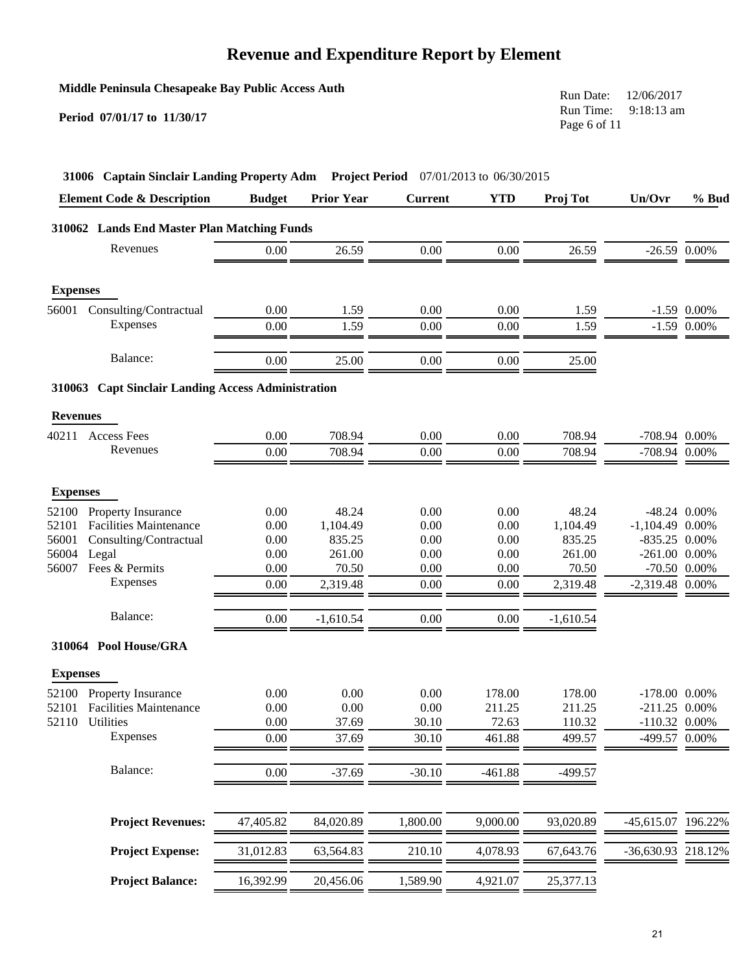|                 | Middle Peninsula Chesapeake Bay Public Access Auth<br>Period 07/01/17 to 11/30/17 |               |                       |                |                          | Run Date:<br>Run Time:<br>Page 6 of 11 | 12/06/2017<br>9:18:13 am |               |
|-----------------|-----------------------------------------------------------------------------------|---------------|-----------------------|----------------|--------------------------|----------------------------------------|--------------------------|---------------|
|                 | 31006 Captain Sinclair Landing Property Adm                                       |               | <b>Project Period</b> |                | 07/01/2013 to 06/30/2015 |                                        |                          |               |
|                 | <b>Element Code &amp; Description</b>                                             | <b>Budget</b> | <b>Prior Year</b>     | <b>Current</b> | <b>YTD</b>               | Proj Tot                               | Un/Ovr                   | % Bud         |
|                 | 310062 Lands End Master Plan Matching Funds                                       |               |                       |                |                          |                                        |                          |               |
|                 | Revenues                                                                          | 0.00          | 26.59                 | 0.00           | 0.00                     | 26.59                                  | $-26.59$ 0.00%           |               |
| <b>Expenses</b> |                                                                                   |               |                       |                |                          |                                        |                          |               |
| 56001           | Consulting/Contractual                                                            | 0.00          | 1.59                  | 0.00           | 0.00                     | 1.59                                   |                          | $-1.59$ 0.00% |
|                 | Expenses                                                                          | 0.00          | 1.59                  | 0.00           | 0.00                     | 1.59                                   | $-1.59$                  | 0.00%         |
|                 | Balance:                                                                          | 0.00          | 25.00                 | 0.00           | 0.00                     | 25.00                                  |                          |               |
|                 | 310063 Capt Sinclair Landing Access Administration                                |               |                       |                |                          |                                        |                          |               |
| <b>Revenues</b> |                                                                                   |               |                       |                |                          |                                        |                          |               |
| 40211           | <b>Access Fees</b>                                                                | 0.00          | 708.94                | 0.00           | 0.00                     | 708.94                                 | $-708.94$ 0.00%          |               |
|                 | Revenues                                                                          | 0.00          | 708.94                | 0.00           | 0.00                     | 708.94                                 | -708.94 0.00%            |               |
| <b>Expenses</b> |                                                                                   |               |                       |                |                          |                                        |                          |               |
| 52100           | Property Insurance                                                                | 0.00          | 48.24                 | 0.00           | 0.00                     | 48.24                                  | -48.24 0.00%             |               |
| 52101           | <b>Facilities Maintenance</b>                                                     | 0.00          | 1,104.49              | 0.00           | 0.00                     | 1,104.49                               | $-1,104.49$ 0.00%        |               |
| 56001           | Consulting/Contractual                                                            | 0.00          | 835.25                | 0.00           | 0.00                     | 835.25                                 | $-835.25$ 0.00%          |               |
| 56004           | Legal                                                                             | 0.00          | 261.00                | 0.00           | 0.00                     | 261.00                                 | $-261.00$ 0.00%          |               |
| 56007           | Fees & Permits                                                                    | 0.00          | 70.50                 | 0.00           | 0.00                     | 70.50                                  | -70.50 0.00%             |               |
|                 | <b>Expenses</b>                                                                   | 0.00          | 2,319.48              | 0.00           | 0.00                     | 2,319.48                               | -2,319.48 0.00%          |               |
|                 | Balance:                                                                          | 0.00          | $-1,610.54$           | 0.00           | 0.00                     | $-1,610.54$                            |                          |               |
|                 | 310064 Pool House/GRA                                                             |               |                       |                |                          |                                        |                          |               |
| <b>Expenses</b> |                                                                                   |               |                       |                |                          |                                        |                          |               |
| 52100           | Property Insurance                                                                | 0.00          | 0.00                  | 0.00           | 178.00                   | 178.00                                 | $-178.00$ 0.00%          |               |
| 52101           | <b>Facilities Maintenance</b>                                                     | 0.00          | 0.00                  | 0.00           | 211.25                   | 211.25                                 | $-211.25$ 0.00%          |               |
| 52110           | Utilities                                                                         | 0.00          | 37.69                 | 30.10          | 72.63                    | 110.32                                 | $-110.32$ 0.00%          |               |
|                 | Expenses                                                                          | 0.00          | 37.69                 | 30.10          | 461.88                   | 499.57                                 | -499.57 0.00%            |               |
|                 | Balance:                                                                          | 0.00          | $-37.69$              | $-30.10$       | $-461.88$                | $-499.57$                              |                          |               |
|                 | <b>Project Revenues:</b>                                                          | 47,405.82     | 84,020.89             | 1,800.00       | 9,000.00                 | 93,020.89                              | $-45,615.07$             | 196.22%       |
|                 | <b>Project Expense:</b>                                                           | 31,012.83     | 63,564.83             | 210.10         | 4,078.93                 | 67,643.76                              | $-36,630.93$             | 218.12%       |
|                 | <b>Project Balance:</b>                                                           | 16,392.99     | 20,456.06             | 1,589.90       | 4,921.07                 | 25,377.13                              |                          |               |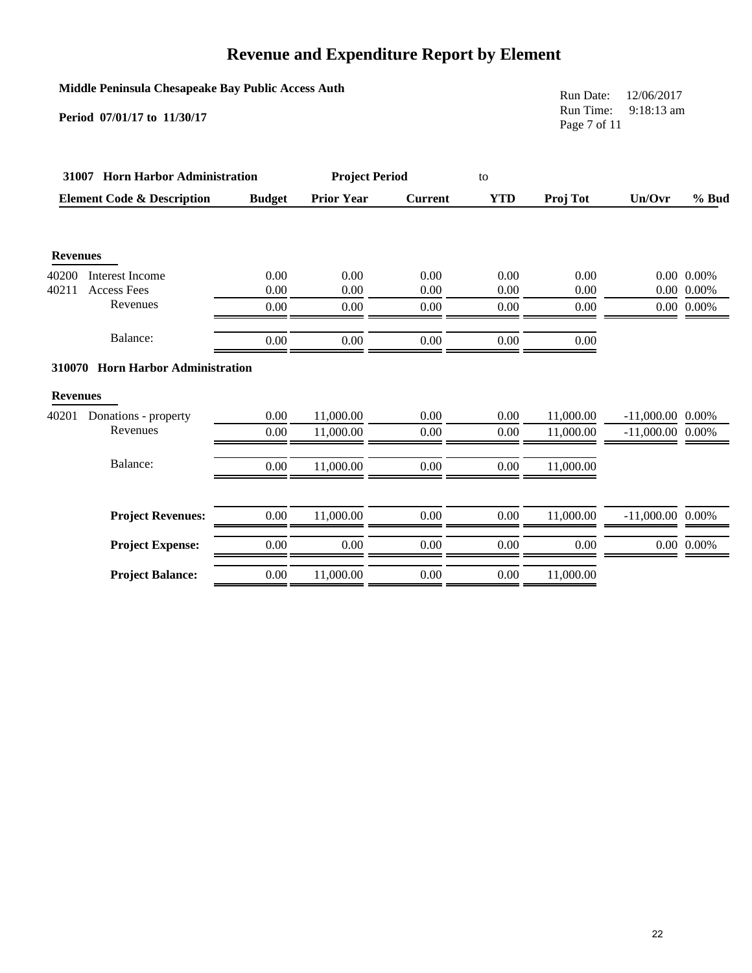#### **Middle Peninsula Chesapeake Bay Public Access Auth**

**Period 07/01/17 to 11/30/17**

Run Date: 12/06/2017 Run Time: 9:18:13 am Page 7 of 11

|                 | 31007 Horn Harbor Administration      |               | <b>Project Period</b> |                | to         |           |                    |                |
|-----------------|---------------------------------------|---------------|-----------------------|----------------|------------|-----------|--------------------|----------------|
|                 | <b>Element Code &amp; Description</b> | <b>Budget</b> | <b>Prior Year</b>     | <b>Current</b> | <b>YTD</b> | Proj Tot  | Un/Ovr             | % Bud          |
|                 |                                       |               |                       |                |            |           |                    |                |
| <b>Revenues</b> |                                       |               |                       |                |            |           |                    |                |
| 40200           | Interest Income                       | 0.00          | 0.00                  | 0.00           | 0.00       | 0.00      |                    | $0.00\ 0.00\%$ |
| 40211           | <b>Access Fees</b>                    | 0.00          | 0.00                  | 0.00           | 0.00       | 0.00      |                    | $0.00\ 0.00\%$ |
|                 | Revenues                              | 0.00          | 0.00                  | 0.00           | 0.00       | 0.00      |                    | $0.00\ 0.00\%$ |
|                 | Balance:                              | 0.00          | 0.00                  | $0.00\,$       | 0.00       | $0.00\,$  |                    |                |
|                 | 310070 Horn Harbor Administration     |               |                       |                |            |           |                    |                |
| <b>Revenues</b> |                                       |               |                       |                |            |           |                    |                |
| 40201           | Donations - property                  | 0.00          | 11,000.00             | 0.00           | 0.00       | 11,000.00 | $-11,000.00$ 0.00% |                |
|                 | Revenues                              | 0.00          | 11,000.00             | 0.00           | 0.00       | 11,000.00 | $-11,000.00$ 0.00% |                |
|                 | Balance:                              | 0.00          | 11,000.00             | $0.00\,$       | 0.00       | 11,000.00 |                    |                |
|                 | <b>Project Revenues:</b>              | 0.00          | 11,000.00             | 0.00           | 0.00       | 11.000.00 | $-11,000,00$ 0.00% |                |
|                 | <b>Project Expense:</b>               | 0.00          | 0.00                  | $0.00\,$       | 0.00       | $0.00\,$  |                    | $0.00\ 0.00\%$ |
|                 | <b>Project Balance:</b>               | 0.00          | 11,000.00             | 0.00           | 0.00       | 11,000.00 |                    |                |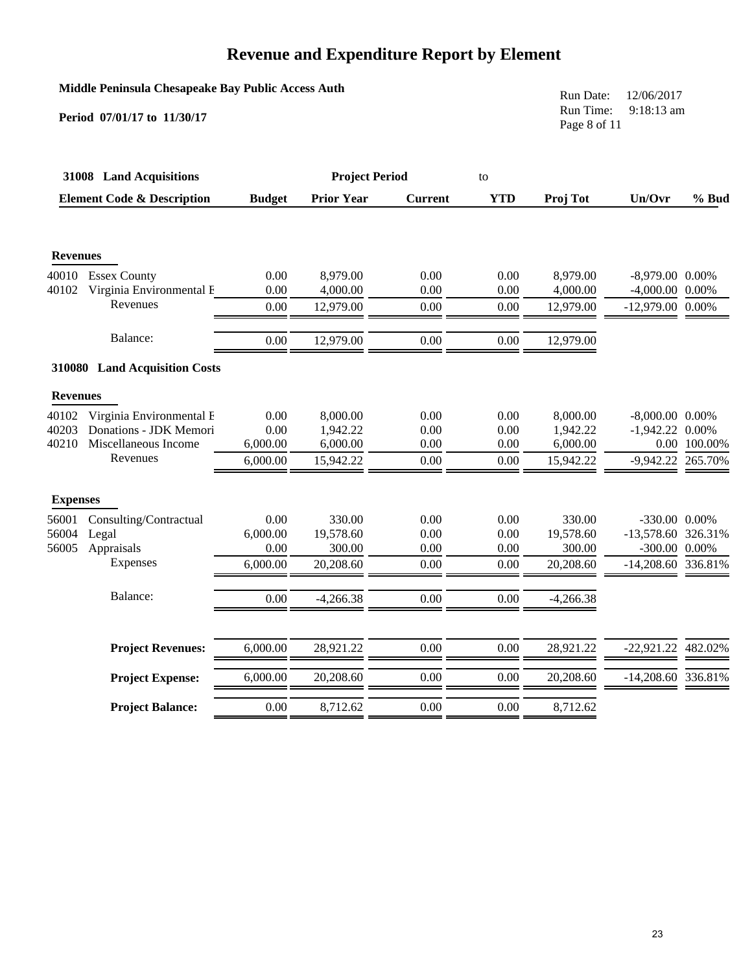#### **Middle Peninsula Chesapeake Bay Public Access Auth**

**Period 07/01/17 to 11/30/17**

Run Date: 12/06/2017 Run Time: 9:18:13 am Page 8 of 11

| 31008 Land Acquisitions |                                       | <b>Project Period</b> |                   |                | to         |             |                    |              |
|-------------------------|---------------------------------------|-----------------------|-------------------|----------------|------------|-------------|--------------------|--------------|
|                         | <b>Element Code &amp; Description</b> | <b>Budget</b>         | <b>Prior Year</b> | <b>Current</b> | <b>YTD</b> | Proj Tot    | Un/Ovr             | % Bud        |
|                         |                                       |                       |                   |                |            |             |                    |              |
| <b>Revenues</b>         |                                       |                       |                   |                |            |             |                    |              |
| 40010                   | <b>Essex County</b>                   | 0.00                  | 8,979.00          | 0.00           | 0.00       | 8,979.00    | $-8,979.00$ 0.00%  |              |
| 40102                   | Virginia Environmental E              | 0.00                  | 4,000.00          | 0.00           | 0.00       | 4,000.00    | $-4,000.00$ 0.00%  |              |
|                         | Revenues                              | 0.00                  | 12,979.00         | 0.00           | 0.00       | 12,979.00   | $-12,979.00$ 0.00% |              |
|                         | Balance:                              | 0.00                  | 12,979.00         | 0.00           | 0.00       | 12,979.00   |                    |              |
|                         | 310080 Land Acquisition Costs         |                       |                   |                |            |             |                    |              |
| <b>Revenues</b>         |                                       |                       |                   |                |            |             |                    |              |
| 40102                   | Virginia Environmental E              | 0.00                  | 8,000.00          | 0.00           | 0.00       | 8,000.00    | $-8,000.00$ 0.00%  |              |
| 40203                   | Donations - JDK Memori                | 0.00                  | 1,942.22          | 0.00           | 0.00       | 1,942.22    | $-1,942.22$ 0.00%  |              |
| 40210                   | Miscellaneous Income                  | 6,000.00              | 6,000.00          | 0.00           | 0.00       | 6,000.00    |                    | 0.00 100.00% |
|                         | Revenues                              | 6,000.00              | 15,942.22         | 0.00           | 0.00       | 15,942.22   | -9,942.22 265.70%  |              |
| <b>Expenses</b>         |                                       |                       |                   |                |            |             |                    |              |
| 56001                   | Consulting/Contractual                | 0.00                  | 330.00            | 0.00           | 0.00       | 330.00      | -330.00 0.00%      |              |
| 56004                   | Legal                                 | 6,000.00              | 19,578.60         | 0.00           | 0.00       | 19,578.60   | -13,578.60 326.31% |              |
| 56005                   | Appraisals                            | 0.00                  | 300.00            | 0.00           | 0.00       | 300.00      | -300.00 0.00%      |              |
|                         | Expenses                              | 6,000.00              | 20,208.60         | 0.00           | 0.00       | 20,208.60   | -14,208.60 336.81% |              |
|                         | Balance:                              | 0.00                  | $-4,266.38$       | 0.00           | 0.00       | $-4,266.38$ |                    |              |
|                         |                                       |                       |                   |                |            |             |                    |              |
|                         | <b>Project Revenues:</b>              | 6,000.00              | 28,921.22         | 0.00           | 0.00       | 28,921.22   | $-22,921.22$       | 482.02%      |
|                         | <b>Project Expense:</b>               | 6,000.00              | 20,208.60         | 0.00           | 0.00       | 20,208.60   | -14,208.60 336.81% |              |
|                         | <b>Project Balance:</b>               | 0.00                  | 8,712.62          | 0.00           | 0.00       | 8,712.62    |                    |              |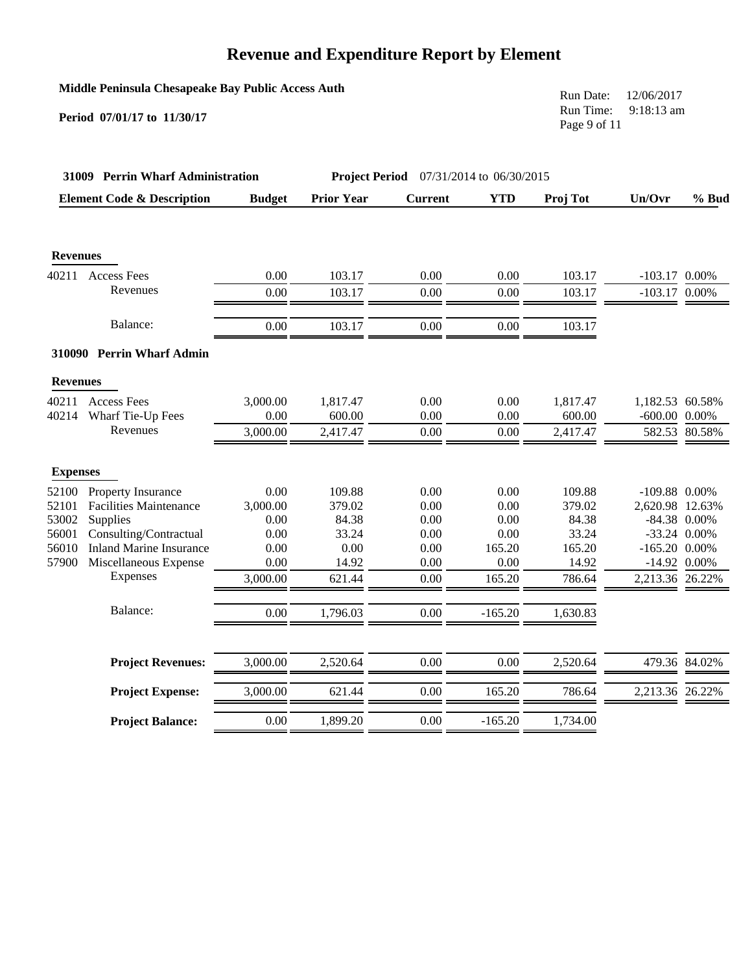| Middle Peninsula Chesapeake Bay Public Access Auth |  |  |  |  |  |
|----------------------------------------------------|--|--|--|--|--|
|----------------------------------------------------|--|--|--|--|--|

**Period 07/01/17 to 11/30/17**

Run Date: 12/06/2017 Run Time: 9:18:13 am Page 9 of 11

| 31009 Perrin Wharf Administration |                                       |               | <b>Project Period</b> 07/31/2014 to 06/30/2015 |                |            |          |                    |                |
|-----------------------------------|---------------------------------------|---------------|------------------------------------------------|----------------|------------|----------|--------------------|----------------|
|                                   | <b>Element Code &amp; Description</b> | <b>Budget</b> | <b>Prior Year</b>                              | <b>Current</b> | <b>YTD</b> | Proj Tot | Un/Ovr             | $%$ Bud        |
|                                   |                                       |               |                                                |                |            |          |                    |                |
| <b>Revenues</b>                   |                                       |               |                                                |                |            |          |                    |                |
| 40211                             | Access Fees                           | 0.00          | 103.17                                         | 0.00           | 0.00       | 103.17   | $-103.17$ 0.00%    |                |
|                                   | Revenues                              | 0.00          | 103.17                                         | 0.00           | 0.00       | 103.17   | $-103.17$ 0.00%    |                |
|                                   | Balance:                              | 0.00          | 103.17                                         | 0.00           | 0.00       | 103.17   |                    |                |
|                                   | 310090 Perrin Wharf Admin             |               |                                                |                |            |          |                    |                |
| <b>Revenues</b>                   |                                       |               |                                                |                |            |          |                    |                |
| 40211                             | <b>Access Fees</b>                    | 3,000.00      | 1,817.47                                       | 0.00           | 0.00       | 1,817.47 | 1,182.53 60.58%    |                |
| 40214                             | Wharf Tie-Up Fees                     | 0.00          | 600.00                                         | 0.00           | 0.00       | 600.00   | $-600.00$ $0.00\%$ |                |
|                                   | Revenues                              | 3,000.00      | 2,417.47                                       | 0.00           | 0.00       | 2,417.47 |                    | 582.53 80.58%  |
| <b>Expenses</b>                   |                                       |               |                                                |                |            |          |                    |                |
| 52100                             | Property Insurance                    | 0.00          | 109.88                                         | 0.00           | 0.00       | 109.88   | $-109.88$ 0.00%    |                |
| 52101                             | <b>Facilities Maintenance</b>         | 3,000.00      | 379.02                                         | 0.00           | 0.00       | 379.02   | 2,620.98 12.63%    |                |
| 53002                             | Supplies                              | 0.00          | 84.38                                          | 0.00           | 0.00       | 84.38    |                    | $-84.38$ 0.00% |
| 56001                             | Consulting/Contractual                | 0.00          | 33.24                                          | 0.00           | 0.00       | 33.24    |                    | $-33.24$ 0.00% |
| 56010                             | <b>Inland Marine Insurance</b>        | 0.00          | 0.00                                           | 0.00           | 165.20     | 165.20   | $-165.20$ 0.00%    |                |
| 57900                             | Miscellaneous Expense                 | 0.00          | 14.92                                          | 0.00           | 0.00       | 14.92    |                    | $-14.92$ 0.00% |
|                                   | Expenses                              | 3,000.00      | 621.44                                         | 0.00           | 165.20     | 786.64   | 2,213.36 26.22%    |                |
|                                   | Balance:                              | 0.00          | 1,796.03                                       | 0.00           | $-165.20$  | 1,630.83 |                    |                |
|                                   |                                       |               |                                                |                |            |          |                    |                |
|                                   | <b>Project Revenues:</b>              | 3,000.00      | 2,520.64                                       | 0.00           | 0.00       | 2,520.64 |                    | 479.36 84.02%  |
|                                   | <b>Project Expense:</b>               | 3,000.00      | 621.44                                         | 0.00           | 165.20     | 786.64   | 2,213.36 26.22%    |                |
|                                   | <b>Project Balance:</b>               | 0.00          | 1,899.20                                       | 0.00           | $-165.20$  | 1,734.00 |                    |                |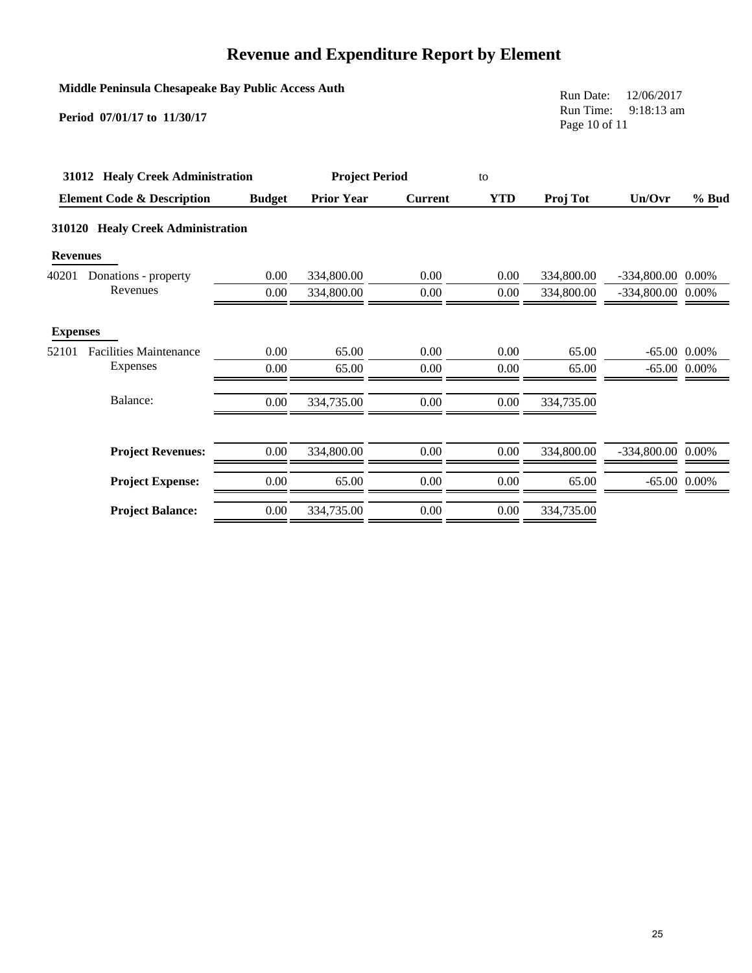#### **Middle Peninsula Chesapeake Bay Public Access Auth**

**Period 07/01/17 to 11/30/17**

Run Date: 12/06/2017 Run Time: 9:18:13 am Page 10 of 11

| 31012 Healy Creek Administration |                                       |               | <b>Project Period</b> |                |            |            |                     |                |
|----------------------------------|---------------------------------------|---------------|-----------------------|----------------|------------|------------|---------------------|----------------|
|                                  | <b>Element Code &amp; Description</b> | <b>Budget</b> | <b>Prior Year</b>     | <b>Current</b> | <b>YTD</b> | Proj Tot   | Un/Ovr              | % Bud          |
| 310120                           | <b>Healy Creek Administration</b>     |               |                       |                |            |            |                     |                |
| <b>Revenues</b>                  |                                       |               |                       |                |            |            |                     |                |
| 40201                            | Donations - property                  | 0.00          | 334,800.00            | 0.00           | 0.00       | 334,800.00 | -334,800.00 0.00%   |                |
|                                  | Revenues                              | 0.00          | 334,800.00            | 0.00           | 0.00       | 334,800.00 | $-334,800.00$ 0.00% |                |
| <b>Expenses</b>                  |                                       |               |                       |                |            |            |                     |                |
| 52101                            | <b>Facilities Maintenance</b>         | 0.00          | 65.00                 | 0.00           | 0.00       | 65.00      |                     | $-65.00$ 0.00% |
|                                  | <b>Expenses</b>                       | 0.00          | 65.00                 | 0.00           | 0.00       | 65.00      |                     | $-65.00$ 0.00% |
|                                  | Balance:                              | 0.00          | 334,735.00            | 0.00           | 0.00       | 334,735.00 |                     |                |
|                                  | <b>Project Revenues:</b>              | 0.00          | 334,800.00            | 0.00           | 0.00       | 334,800.00 | -334,800.00 0.00%   |                |
|                                  | <b>Project Expense:</b>               | 0.00          | 65.00                 | 0.00           | 0.00       | 65.00      |                     | $-65.00$ 0.00% |
|                                  | <b>Project Balance:</b>               | 0.00          | 334,735.00            | 0.00           | 0.00       | 334,735.00 |                     |                |